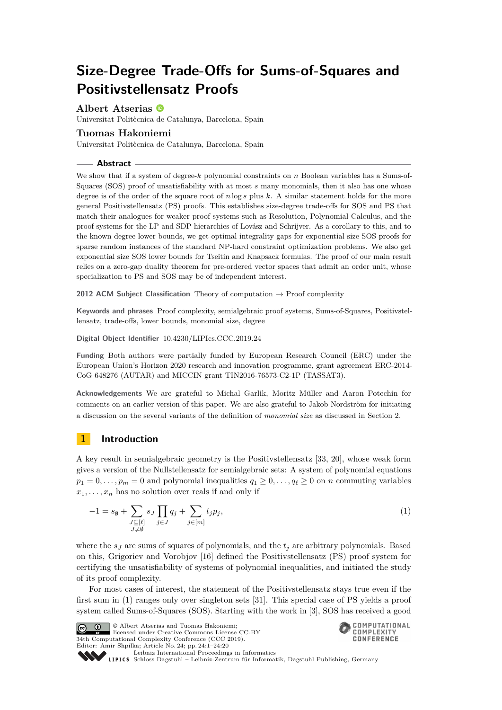# **Size-Degree Trade-Offs for Sums-of-Squares and Positivstellensatz Proofs**

**Albert Atserias**

Universitat Politècnica de Catalunya, Barcelona, Spain

## **Tuomas Hakoniemi**

Universitat Politècnica de Catalunya, Barcelona, Spain

## **Abstract**

We show that if a system of degree-*k* polynomial constraints on *n* Boolean variables has a Sums-of-Squares (SOS) proof of unsatisfiability with at most *s* many monomials, then it also has one whose degree is of the order of the square root of *n* log *s* plus *k*. A similar statement holds for the more general Positivstellensatz (PS) proofs. This establishes size-degree trade-offs for SOS and PS that match their analogues for weaker proof systems such as Resolution, Polynomial Calculus, and the proof systems for the LP and SDP hierarchies of Lovász and Schrijver. As a corollary to this, and to the known degree lower bounds, we get optimal integrality gaps for exponential size SOS proofs for sparse random instances of the standard NP-hard constraint optimization problems. We also get exponential size SOS lower bounds for Tseitin and Knapsack formulas. The proof of our main result relies on a zero-gap duality theorem for pre-ordered vector spaces that admit an order unit, whose specialization to PS and SOS may be of independent interest.

**2012 ACM Subject Classification** Theory of computation → Proof complexity

**Keywords and phrases** Proof complexity, semialgebraic proof systems, Sums-of-Squares, Positivstellensatz, trade-offs, lower bounds, monomial size, degree

**Digital Object Identifier** [10.4230/LIPIcs.CCC.2019.24](https://doi.org/10.4230/LIPIcs.CCC.2019.24)

**Funding** Both authors were partially funded by European Research Council (ERC) under the European Union's Horizon 2020 research and innovation programme, grant agreement ERC-2014- CoG 648276 (AUTAR) and MICCIN grant TIN2016-76573-C2-1P (TASSAT3).

**Acknowledgements** We are grateful to Michal Garlik, Moritz Müller and Aaron Potechin for comments on an earlier version of this paper. We are also grateful to Jakob Nordström for initiating a discussion on the several variants of the definition of *monomial size* as discussed in Section [2.](#page-2-0)

## **1 Introduction**

A key result in semialgebraic geometry is the Positivstellensatz [\[33,](#page-19-0) [20\]](#page-18-0), whose weak form gives a version of the Nullstellensatz for semialgebraic sets: A system of polynomial equations  $p_1 = 0, \ldots, p_m = 0$  and polynomial inequalities  $q_1 \geq 0, \ldots, q_\ell \geq 0$  on *n* commuting variables  $x_1, \ldots, x_n$  has no solution over reals if and only if

$$
-1 = s_{\emptyset} + \sum_{\substack{J \subseteq [\ell] \\ J \neq \emptyset}} s_J \prod_{j \in J} q_j + \sum_{j \in [m]} t_j p_j,
$$
\n
$$
(1)
$$

where the  $s<sub>J</sub>$  are sums of squares of polynomials, and the  $t<sub>j</sub>$  are arbitrary polynomials. Based on this, Grigoriev and Vorobjov [\[16\]](#page-18-1) defined the Positivstellensatz (PS) proof system for certifying the unsatisfiability of systems of polynomial inequalities, and initiated the study of its proof complexity.

For most cases of interest, the statement of the Positivstellensatz stays true even if the first sum in [\(1\)](#page-0-0) ranges only over singleton sets [\[31\]](#page-19-1). This special case of PS yields a proof system called Sums-of-Squares (SOS). Starting with the work in [\[3\]](#page-17-0), SOS has received a good

**C**  $\bullet$  **D**  $\circ$  Albert Atserias and Tuomas Hakoniemi: licensed under Creative Commons License CC-BY 34th Computational Complexity Conference (CCC 2019). Editor: Amir Shpilka; Article No. 24; pp. 24:1–24[:20](#page-19-2)

<span id="page-0-0"></span>

[Leibniz International Proceedings in Informatics](https://www.dagstuhl.de/lipics/) Leibniz international ruceedings in miorimetric<br>
LIPICS [Schloss Dagstuhl – Leibniz-Zentrum für Informatik, Dagstuhl Publishing, Germany](https://www.dagstuhl.de)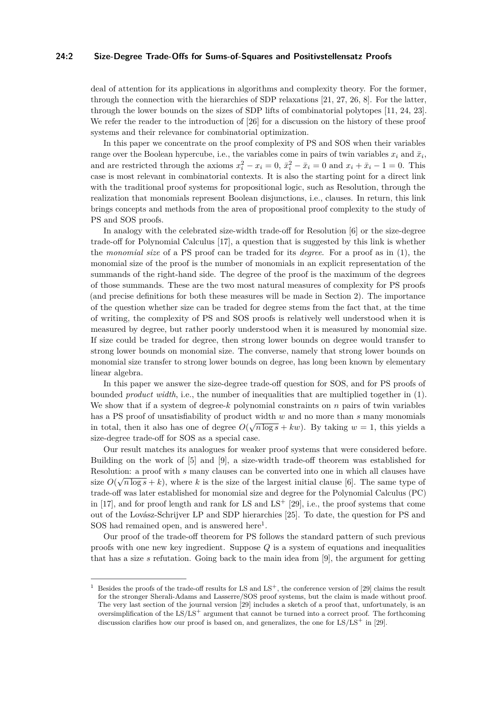#### **24:2 Size-Degree Trade-Offs for Sums-of-Squares and Positivstellensatz Proofs**

deal of attention for its applications in algorithms and complexity theory. For the former, through the connection with the hierarchies of SDP relaxations [\[21,](#page-18-2) [27,](#page-19-3) [26,](#page-19-4) [8\]](#page-18-3). For the latter, through the lower bounds on the sizes of SDP lifts of combinatorial polytopes [\[11,](#page-18-4) [24,](#page-18-5) [23\]](#page-18-6). We refer the reader to the introduction of [\[26\]](#page-19-4) for a discussion on the history of these proof systems and their relevance for combinatorial optimization.

In this paper we concentrate on the proof complexity of PS and SOS when their variables range over the Boolean hypercube, i.e., the variables come in pairs of twin variables  $x_i$  and  $\bar{x}_i$ , and are restricted through the axioms  $x_i^2 - x_i = 0$ ,  $\bar{x}_i^2 - \bar{x}_i = 0$  and  $x_i + \bar{x}_i - 1 = 0$ . This case is most relevant in combinatorial contexts. It is also the starting point for a direct link with the traditional proof systems for propositional logic, such as Resolution, through the realization that monomials represent Boolean disjunctions, i.e., clauses. In return, this link brings concepts and methods from the area of propositional proof complexity to the study of PS and SOS proofs.

In analogy with the celebrated size-width trade-off for Resolution [\[6\]](#page-17-1) or the size-degree trade-off for Polynomial Calculus [\[17\]](#page-18-7), a question that is suggested by this link is whether the *monomial size* of a PS proof can be traded for its *degree*. For a proof as in [\(1\)](#page-0-0), the monomial size of the proof is the number of monomials in an explicit representation of the summands of the right-hand side. The degree of the proof is the maximum of the degrees of those summands. These are the two most natural measures of complexity for PS proofs (and precise definitions for both these measures will be made in Section [2\)](#page-2-0). The importance of the question whether size can be traded for degree stems from the fact that, at the time of writing, the complexity of PS and SOS proofs is relatively well understood when it is measured by degree, but rather poorly understood when it is measured by monomial size. If size could be traded for degree, then strong lower bounds on degree would transfer to strong lower bounds on monomial size. The converse, namely that strong lower bounds on monomial size transfer to strong lower bounds on degree, has long been known by elementary linear algebra.

In this paper we answer the size-degree trade-off question for SOS, and for PS proofs of bounded *product width*, i.e., the number of inequalities that are multiplied together in [\(1\)](#page-0-0). We show that if a system of degree-*k* polynomial constraints on *n* pairs of twin variables has a PS proof of unsatisfiability of product width *w* and no more than *s* many monomials in total, then it also has one of degree  $O(\sqrt{n \log s} + kw)$ . By taking  $w = 1$ , this yields a size-degree trade-off for SOS as a special case.

Our result matches its analogues for weaker proof systems that were considered before. Building on the work of [\[5\]](#page-17-2) and [\[9\]](#page-18-8), a size-width trade-off theorem was established for Resolution: a proof with *s* many clauses can be converted into one in which all clauses have size  $O(\sqrt{n \log s} + k)$ , where k is the size of the largest initial clause [\[6\]](#page-17-1). The same type of trade-off was later established for monomial size and degree for the Polynomial Calculus (PC) in [\[17\]](#page-18-7), and for proof length and rank for LS and  $LS^+$  [\[29\]](#page-19-5), i.e., the proof systems that come out of the Lovász-Schrijver LP and SDP hierarchies [\[25\]](#page-18-9). To date, the question for PS and SOS had remained open, and is answered here<sup>[1](#page-1-0)</sup>.

Our proof of the trade-off theorem for PS follows the standard pattern of such previous proofs with one new key ingredient. Suppose *Q* is a system of equations and inequalities that has a size *s* refutation. Going back to the main idea from [\[9\]](#page-18-8), the argument for getting

<span id="page-1-0"></span><sup>&</sup>lt;sup>1</sup> Besides the proofs of the trade-off results for LS and LS<sup>+</sup>, the conference version of [\[29\]](#page-19-5) claims the result for the stronger Sherali-Adams and Lasserre/SOS proof systems, but the claim is made without proof. The very last section of the journal version [\[29\]](#page-19-5) includes a sketch of a proof that, unfortunately, is an oversimplification of the LS/LS<sup>+</sup> argument that cannot be turned into a correct proof. The forthcoming discussion clarifies how our proof is based on, and generalizes, the one for  $LS/LS^+$  in [\[29\]](#page-19-5).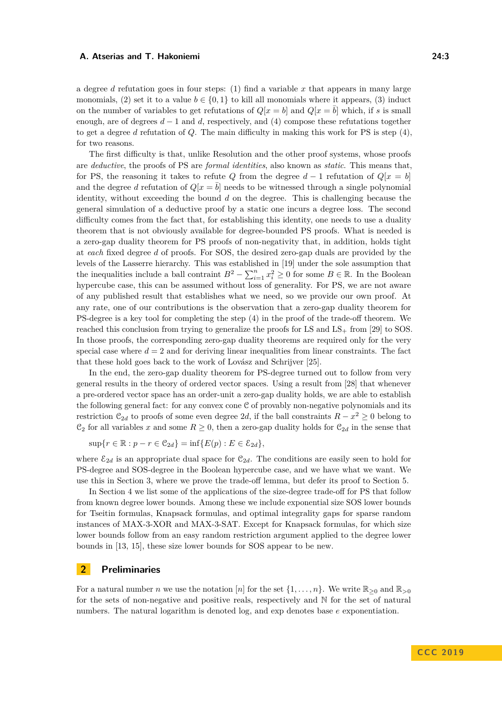a degree *d* refutation goes in four steps: (1) find a variable *x* that appears in many large monomials, (2) set it to a value  $b \in \{0, 1\}$  to kill all monomials where it appears, (3) induct on the number of variables to get refutations of  $Q[x = b]$  and  $Q[x = b]$  which, if *s* is small enough, are of degrees *d* − 1 and *d*, respectively, and (4) compose these refutations together to get a degree *d* refutation of *Q*. The main difficulty in making this work for PS is step (4), for two reasons.

The first difficulty is that, unlike Resolution and the other proof systems, whose proofs are *deductive*, the proofs of PS are *formal identities*, also known as *static*. This means that, for PS, the reasoning it takes to refute *Q* from the degree  $d-1$  refutation of  $Q[x = b]$ and the degree *d* refutation of  $Q[x = \overline{b}]$  needs to be witnessed through a single polynomial identity, without exceeding the bound *d* on the degree. This is challenging because the general simulation of a deductive proof by a static one incurs a degree loss. The second difficulty comes from the fact that, for establishing this identity, one needs to use a duality theorem that is not obviously available for degree-bounded PS proofs. What is needed is a zero-gap duality theorem for PS proofs of non-negativity that, in addition, holds tight at *each* fixed degree *d* of proofs. For SOS, the desired zero-gap duals are provided by the levels of the Lasserre hierarchy. This was established in [\[19\]](#page-18-10) under the sole assumption that the inequalities include a ball contraint  $B^2 - \sum_{i=1}^n x_i^2 \ge 0$  for some  $B \in \mathbb{R}$ . In the Boolean hypercube case, this can be assumed without loss of generality. For PS, we are not aware of any published result that establishes what we need, so we provide our own proof. At any rate, one of our contributions is the observation that a zero-gap duality theorem for PS-degree is a key tool for completing the step (4) in the proof of the trade-off theorem. We reached this conclusion from trying to generalize the proofs for LS and  $LS_{+}$  from [\[29\]](#page-19-5) to SOS. In those proofs, the corresponding zero-gap duality theorems are required only for the very special case where  $d = 2$  and for deriving linear inequalities from linear constraints. The fact that these hold goes back to the work of Lovász and Schrijver [\[25\]](#page-18-9).

In the end, the zero-gap duality theorem for PS-degree turned out to follow from very general results in the theory of ordered vector spaces. Using a result from [\[28\]](#page-19-6) that whenever a pre-ordered vector space has an order-unit a zero-gap duality holds, we are able to establish the following general fact: for any convex cone C of provably non-negative polynomials and its restriction  $\mathcal{C}_{2d}$  to proofs of some even degree 2*d*, if the ball constraints  $R - x^2 \geq 0$  belong to  $\mathfrak{C}_2$  for all variables *x* and some  $R \geq 0$ , then a zero-gap duality holds for  $\mathfrak{C}_{2d}$  in the sense that

$$
\sup\{r \in \mathbb{R} : p - r \in \mathcal{C}_{2d}\} = \inf\{E(p) : E \in \mathcal{E}_{2d}\},\
$$

where  $\mathcal{E}_{2d}$  is an appropriate dual space for  $\mathcal{C}_{2d}$ . The conditions are easily seen to hold for PS-degree and SOS-degree in the Boolean hypercube case, and we have what we want. We use this in Section [3,](#page-5-0) where we prove the trade-off lemma, but defer its proof to Section [5.](#page-14-0)

In Section [4](#page-11-0) we list some of the applications of the size-degree trade-off for PS that follow from known degree lower bounds. Among these we include exponential size SOS lower bounds for Tseitin formulas, Knapsack formulas, and optimal integrality gaps for sparse random instances of MAX-3-XOR and MAX-3-SAT. Except for Knapsack formulas, for which size lower bounds follow from an easy random restriction argument applied to the degree lower bounds in [\[13,](#page-18-11) [15\]](#page-18-12), these size lower bounds for SOS appear to be new.

## <span id="page-2-0"></span>**2 Preliminaries**

For a natural number *n* we use the notation [*n*] for the set  $\{1, \ldots, n\}$ . We write  $\mathbb{R}_{\geq 0}$  and  $\mathbb{R}_{\geq 0}$ for the sets of non-negative and positive reals, respectively and N for the set of natural numbers. The natural logarithm is denoted log, and exp denotes base *e* exponentiation.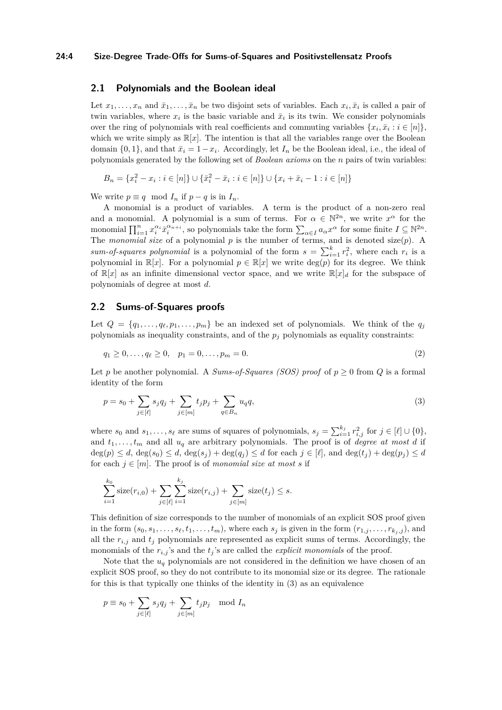#### **24:4 Size-Degree Trade-Offs for Sums-of-Squares and Positivstellensatz Proofs**

## **2.1 Polynomials and the Boolean ideal**

Let  $x_1, \ldots, x_n$  and  $\bar{x}_1, \ldots, \bar{x}_n$  be two disjoint sets of variables. Each  $x_i, \bar{x}_i$  is called a pair of twin variables, where  $x_i$  is the basic variable and  $\bar{x}_i$  is its twin. We consider polynomials over the ring of polynomials with real coefficients and commuting variables  $\{x_i, \bar{x}_i : i \in [n]\},\$ which we write simply as  $\mathbb{R}[x]$ . The intention is that all the variables range over the Boolean domain  $\{0, 1\}$ , and that  $\bar{x}_i = 1 - x_i$ . Accordingly, let  $I_n$  be the Boolean ideal, i.e., the ideal of polynomials generated by the following set of *Boolean axioms* on the *n* pairs of twin variables:

$$
B_n = \{x_i^2 - x_i : i \in [n]\} \cup \{\bar{x}_i^2 - \bar{x}_i : i \in [n]\} \cup \{x_i + \bar{x}_i - 1 : i \in [n]\}
$$

We write  $p \equiv q \mod I_n$  if  $p - q$  is in  $I_n$ .

A monomial is a product of variables. A term is the product of a non-zero real and a monomial. A polynomial is a sum of terms. For  $\alpha \in \mathbb{N}^{2n}$ , we write  $x^{\alpha}$  for the monomial  $\prod_{i=1}^n x_i^{\alpha_i} \bar{x}_i^{\alpha_{n+i}}$ , so polynomials take the form  $\sum_{\alpha \in I} a_{\alpha} x^{\alpha}$  for some finite  $I \subseteq \mathbb{N}^{2n}$ . The *monomial size* of a polynomial *p* is the number of terms, and is denoted size(*p*). A *sum-of-squares polynomial* is a polynomial of the form  $s = \sum_{i=1}^{k} r_i^2$ , where each  $r_i$  is a polynomial in  $\mathbb{R}[x]$ . For a polynomial  $p \in \mathbb{R}[x]$  we write  $\deg(p)$  for its degree. We think of  $\mathbb{R}[x]$  as an infinite dimensional vector space, and we write  $\mathbb{R}[x]_d$  for the subspace of polynomials of degree at most *d*.

## **2.2 Sums-of-Squares proofs**

Let  $Q = \{q_1, \ldots, q_\ell, p_1, \ldots, p_m\}$  be an indexed set of polynomials. We think of the  $q_j$ polynomials as inequality constraints, and of the *p<sup>j</sup>* polynomials as equality constraints:

<span id="page-3-1"></span>
$$
q_1 \ge 0, \dots, q_\ell \ge 0, \quad p_1 = 0, \dots, p_m = 0. \tag{2}
$$

Let *p* be another polynomial. A *Sums-of-Squares (SOS) proof* of  $p \geq 0$  from *Q* is a formal identity of the form

<span id="page-3-0"></span>
$$
p = s_0 + \sum_{j \in [\ell]} s_j q_j + \sum_{j \in [m]} t_j p_j + \sum_{q \in B_n} u_q q, \tag{3}
$$

where  $s_0$  and  $s_1, \ldots, s_\ell$  are sums of squares of polynomials,  $s_j = \sum_{i=1}^{k_j} r_{i,j}^2$  for  $j \in [\ell] \cup \{0\}$ , and  $t_1, \ldots, t_m$  and all  $u_q$  are arbitrary polynomials. The proof is of *degree at most d* if  $deg(p) \leq d$ ,  $deg(s_0) \leq d$ ,  $deg(s_j) + deg(q_j) \leq d$  for each  $j \in [\ell]$ , and  $deg(t_j) + deg(p_j) \leq d$ for each  $j \in [m]$ . The proof is of *monomial size at most s* if

$$
\sum_{i=1}^{k_0} \text{size}(r_{i,0}) + \sum_{j \in [\ell]} \sum_{i=1}^{k_j} \text{size}(r_{i,j}) + \sum_{j \in [m]} \text{size}(t_j) \leq s.
$$

This definition of size corresponds to the number of monomials of an explicit SOS proof given in the form  $(s_0, s_1, \ldots, s_\ell, t_1, \ldots, t_m)$ , where each  $s_j$  is given in the form  $(r_{1,j}, \ldots, r_{k_j,j})$ , and all the  $r_{i,j}$  and  $t_j$  polynomials are represented as explicit sums of terms. Accordingly, the monomials of the  $r_{i,j}$ 's and the  $t_j$ 's are called the *explicit monomials* of the proof.

Note that the  $u_q$  polynomials are not considered in the definition we have chosen of an explicit SOS proof, so they do not contribute to its monomial size or its degree. The rationale for this is that typically one thinks of the identity in [\(3\)](#page-3-0) as an equivalence

$$
p \equiv s_0 + \sum_{j \in [\ell]} s_j q_j + \sum_{j \in [m]} t_j p_j \mod I_n
$$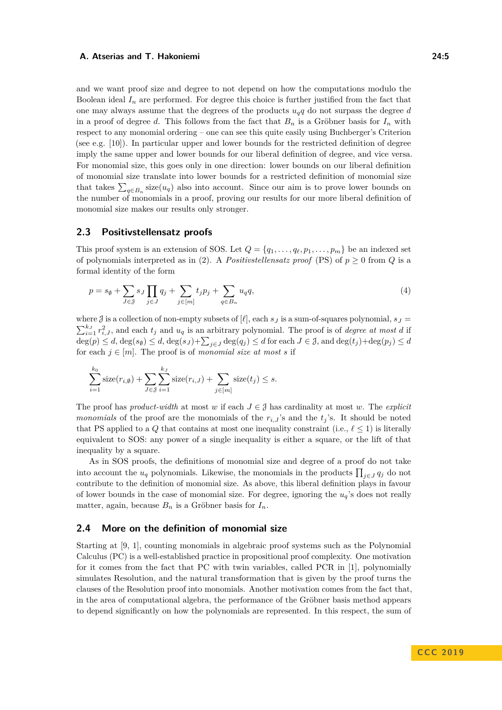and we want proof size and degree to not depend on how the computations modulo the Boolean ideal  $I_n$  are performed. For degree this choice is further justified from the fact that one may always assume that the degrees of the products  $u_q q$  do not surpass the degree *d* in a proof of degree *d*. This follows from the fact that  $B_n$  is a Gröbner basis for  $I_n$  with respect to any monomial ordering – one can see this quite easily using Buchberger's Criterion (see e.g. [\[10\]](#page-18-13)). In particular upper and lower bounds for the restricted definition of degree imply the same upper and lower bounds for our liberal definition of degree, and vice versa. For monomial size, this goes only in one direction: lower bounds on our liberal definition of monomial size translate into lower bounds for a restricted definition of monomial size that takes  $\sum_{q \in B_n}$  size $(u_q)$  also into account. Since our aim is to prove lower bounds on the number of monomials in a proof, proving our results for our more liberal definition of monomial size makes our results only stronger.

## **2.3 Positivstellensatz proofs**

This proof system is an extension of SOS. Let  $Q = \{q_1, \ldots, q_\ell, p_1, \ldots, p_m\}$  be an indexed set of polynomials interpreted as in [\(2\)](#page-3-1). A *Positiviallensatz proof* (PS) of  $p \ge 0$  from *Q* is a formal identity of the form

<span id="page-4-0"></span>
$$
p = s_{\emptyset} + \sum_{J \in \mathcal{J}} s_J \prod_{j \in J} q_j + \sum_{j \in [m]} t_j p_j + \sum_{q \in B_n} u_q q, \tag{4}
$$

where  $\beta$  is a collection of non-empty subsets of  $[\ell]$ , each  $s_J$  is a sum-of-squares polynomial,  $s_J =$  $\sum_{i=1}^{k_J} r_{i,J}^2$ , and each  $t_j$  and  $u_q$  is an arbitrary polynomial. The proof is of *degree at most d* if  $deg(p) \leq d$ ,  $deg(s_{\emptyset}) \leq d$ ,  $deg(s_J) + \sum_{j \in J} deg(q_j) \leq d$  for each  $J \in \mathcal{J}$ , and  $deg(t_j) + deg(p_j) \leq d$ for each  $j \in [m]$ . The proof is of *monomial size at most s* if

$$
\sum_{i=1}^{k_0} \operatorname{size}(r_{i,\emptyset}) + \sum_{J \in \emptyset} \sum_{i=1}^{k_J} \operatorname{size}(r_{i,J}) + \sum_{j \in [m]} \operatorname{size}(t_j) \le s.
$$

The proof has *product-width* at most *w* if each  $J \in \mathcal{J}$  has cardinality at most *w*. The *explicit monomials* of the proof are the monomials of the  $r_i$ , *j*'s and the  $t_j$ 's. It should be noted that PS applied to a *Q* that contains at most one inequality constraint (i.e.,  $\ell \leq 1$ ) is literally equivalent to SOS: any power of a single inequality is either a square, or the lift of that inequality by a square.

As in SOS proofs, the definitions of monomial size and degree of a proof do not take into account the  $u_q$  polynomials. Likewise, the monomials in the products  $\prod_{j\in J} q_j$  do not contribute to the definition of monomial size. As above, this liberal definition plays in favour of lower bounds in the case of monomial size. For degree, ignoring the *uq*'s does not really matter, again, because  $B_n$  is a Gröbner basis for  $I_n$ .

## **2.4 More on the definition of monomial size**

Starting at [\[9,](#page-18-8) [1\]](#page-17-3), counting monomials in algebraic proof systems such as the Polynomial Calculus (PC) is a well-established practice in propositional proof complexity. One motivation for it comes from the fact that PC with twin variables, called PCR in [\[1\]](#page-17-3), polynomially simulates Resolution, and the natural transformation that is given by the proof turns the clauses of the Resolution proof into monomials. Another motivation comes from the fact that, in the area of computational algebra, the performance of the Gröbner basis method appears to depend significantly on how the polynomials are represented. In this respect, the sum of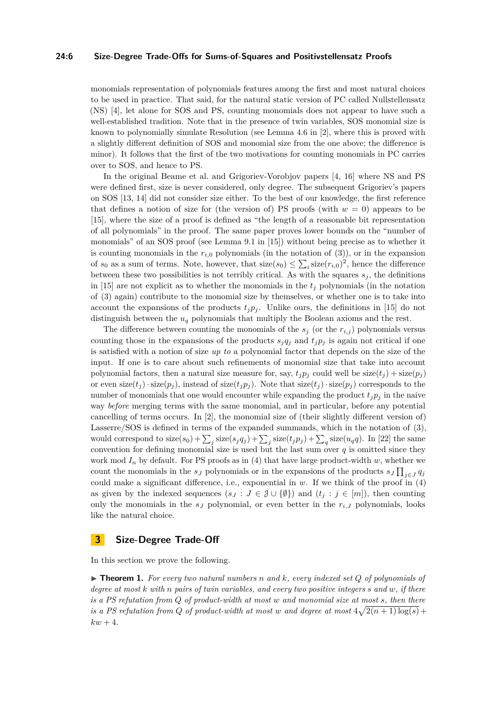#### **24:6 Size-Degree Trade-Offs for Sums-of-Squares and Positivstellensatz Proofs**

monomials representation of polynomials features among the first and most natural choices to be used in practice. That said, for the natural static version of PC called Nullstellensatz (NS) [\[4\]](#page-17-4), let alone for SOS and PS, counting monomials does not appear to have such a well-established tradition. Note that in the presence of twin variables, SOS monomial size is known to polynomially simulate Resolution (see Lemma 4.6 in [\[2\]](#page-17-5), where this is proved with a slightly different definition of SOS and monomial size from the one above; the difference is minor). It follows that the first of the two motivations for counting monomials in PC carries over to SOS, and hence to PS.

In the original Beame et al. and Grigoriev-Vorobjov papers [\[4,](#page-17-4) [16\]](#page-18-1) where NS and PS were defined first, size is never considered, only degree. The subsequent Grigoriev's papers on SOS [\[13,](#page-18-11) [14\]](#page-18-14) did not consider size either. To the best of our knowledge, the first reference that defines a notion of size for (the version of) PS proofs (with  $w = 0$ ) appears to be [\[15\]](#page-18-12), where the size of a proof is defined as "the length of a reasonable bit representation of all polynomials" in the proof. The same paper proves lower bounds on the "number of monomials" of an SOS proof (see Lemma 9.1 in [\[15\]](#page-18-12)) without being precise as to whether it is counting monomials in the  $r_{i,0}$  polynomials (in the notation of [\(3\)](#page-3-0)), or in the expansion of  $s_0$  as a sum of terms. Note, however, that  $size(s_0) \leq \sum_i size(r_{i,0})^2$ , hence the difference between these two possibilities is not terribly critical. As with the squares  $s_j$ , the definitions in [\[15\]](#page-18-12) are not explicit as to whether the monomials in the  $t_i$  polynomials (in the notation of [\(3\)](#page-3-0) again) contribute to the monomial size by themselves, or whether one is to take into account the expansions of the products  $t_j p_j$ . Unlike ours, the definitions in [\[15\]](#page-18-12) do not distinguish between the *u<sup>q</sup>* polynomials that multiply the Boolean axioms and the rest.

The difference between counting the monomials of the  $s_j$  (or the  $r_{i,j}$ ) polynomials versus counting those in the expansions of the products  $s_j q_j$  and  $t_j p_j$  is again not critical if one is satisfied with a notion of size *up to* a polynomial factor that depends on the size of the input. If one is to care about such refinements of monomial size that take into account polynomial factors, then a natural size measure for, say,  $t_i p_j$  could well be  $size(t_j) + size(p_j)$ or even  $\text{size}(t_i) \cdot \text{size}(p_i)$ , instead of  $\text{size}(t_i p_i)$ . Note that  $\text{size}(t_i) \cdot \text{size}(p_i)$  corresponds to the number of monomials that one would encounter while expanding the product  $t_i p_j$  in the naive way *before* merging terms with the same monomial, and in particular, before any potential cancelling of terms occurs. In [\[2\]](#page-17-5), the monomial size of (their slightly different version of) Lasserre/SOS is defined in terms of the expanded summands, which in the notation of [\(3\)](#page-3-0), would correspond to  $size(s_0) + \sum_j size(s_j q_j) + \sum_j size(t_j p_j) + \sum_q size(u_q q)$ . In [\[22\]](#page-18-15) the same convention for defining monomial size is used but the last sum over  $q$  is omitted since they work mod  $I_n$  by default. For PS proofs as in [\(4\)](#page-4-0) that have large product-width  $w$ , whether we count the monomials in the *s*<sub>*J*</sub> polynomials or in the expansions of the products  $s_J \prod_{j \in J} q_j$ could make a significant difference, i.e., exponential in *w*. If we think of the proof in [\(4\)](#page-4-0) as given by the indexed sequences  $(s_J : J \in \mathcal{J} \cup \{\emptyset\})$  and  $(t_j : j \in [m])$ , then counting only the monomials in the  $s<sub>J</sub>$  polynomial, or even better in the  $r<sub>i,J</sub>$  polynomials, looks like the natural choice.

## <span id="page-5-0"></span>**3 Size-Degree Trade-Off**

<span id="page-5-1"></span>In this section we prove the following.

 $\triangleright$  **Theorem 1.** For every two natural numbers n and k, every indexed set Q of polynomials of *degree at most k with n pairs of twin variables, and every two positive integers s and w, if there is a PS refutation from Q of product-width at most w and monomial size at most s, then there is a PS refutation from Q of product-width at most w and degree at most*  $4\sqrt{2(n+1)\log(s)}$  +  $kw + 4.$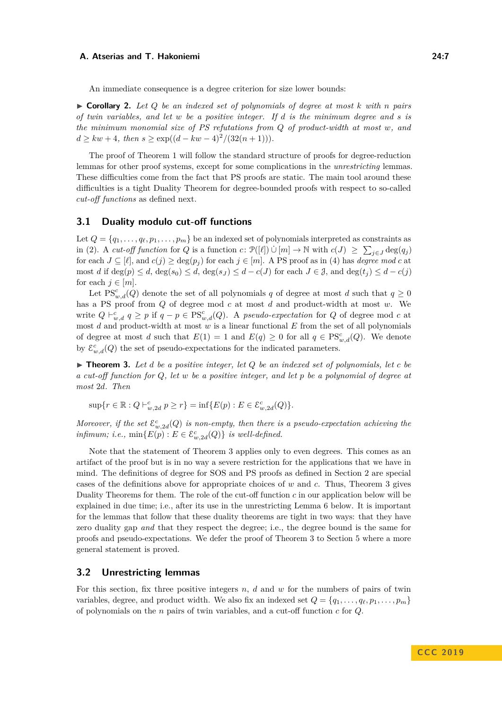An immediate consequence is a degree criterion for size lower bounds:

 $\triangleright$  **Corollary 2.** Let Q be an indexed set of polynomials of degree at most k with *n* pairs *of twin variables, and let w be a positive integer. If d is the minimum degree and s is the minimum monomial size of PS refutations from Q of product-width at most w, and*  $d > kw + 4$ , then  $s > \exp((d - kw - 4)^2/(32(n + 1)))$ .

The proof of Theorem [1](#page-5-1) will follow the standard structure of proofs for degree-reduction lemmas for other proof systems, except for some complications in the *unrestricting* lemmas. These difficulties come from the fact that PS proofs are static. The main tool around these difficulties is a tight Duality Theorem for degree-bounded proofs with respect to so-called *cut-off functions* as defined next.

## **3.1 Duality modulo cut-off functions**

Let  $Q = \{q_1, \ldots, q_\ell, p_1, \ldots, p_m\}$  be an indexed set of polynomials interpreted as constraints as in [\(2\)](#page-3-1). A *cut-off function* for *Q* is a function *c*:  $\mathcal{P}([\ell]) \cup [m] \to \mathbb{N}$  with  $c(J) \geq \sum_{j \in J} deg(q_j)$ for each  $J \subseteq [\ell]$ , and  $c(j) \geq \deg(p_j)$  for each  $j \in [m]$ . A PS proof as in [\(4\)](#page-4-0) has *degree mod*  $c$  at most *d* if  $\deg(p) \leq d$ ,  $\deg(s_0) \leq d$ ,  $\deg(s_J) \leq d - c(J)$  for each  $J \in \mathcal{J}$ , and  $\deg(t_j) \leq d - c(j)$ for each  $j \in [m]$ .

Let  $PS_{w,d}^c(Q)$  denote the set of all polynomials *q* of degree at most *d* such that  $q \ge 0$ has a PS proof from *Q* of degree mod *c* at most *d* and product-width at most *w*. We write  $Q \vdash_{w,d}^c q \geq p$  if  $q - p \in \text{PS}_{w,d}^c(Q)$ . A *pseudo-expectation* for  $Q$  of degree mod  $c$  at most *d* and product-width at most *w* is a linear functional *E* from the set of all polynomials of degree at most *d* such that  $E(1) = 1$  and  $E(q) \ge 0$  for all  $q \in \text{PS}_{w,d}^c(Q)$ . We denote by  $\mathcal{E}^c_{w,d}(Q)$  the set of pseudo-expectations for the indicated parameters.

<span id="page-6-0"></span> $\triangleright$  **Theorem 3.** Let *d be a positive integer, let Q be an indexed set of polynomials, let c be a cut-off function for Q, let w be a positive integer, and let p be a polynomial of degree at most* 2*d. Then*

 $\sup\{r \in \mathbb{R} : Q \vdash_{w,2d}^c p \geq r\} = \inf\{E(p) : E \in \mathcal{E}_{w,2d}^c(Q)\}.$ 

*Moreover, if the set*  $\mathcal{E}^c_{w,2d}(Q)$  *is non-empty, then there is a pseudo-expectation achieving the infimum; i.e.,*  $\min\{E(p) : E \in \mathcal{E}_{w,2d}^c(Q)\}$  *is well-defined.* 

Note that the statement of Theorem [3](#page-6-0) applies only to even degrees. This comes as an artifact of the proof but is in no way a severe restriction for the applications that we have in mind. The definitions of degree for SOS and PS proofs as defined in Section [2](#page-2-0) are special cases of the definitions above for appropriate choices of *w* and *c*. Thus, Theorem [3](#page-6-0) gives Duality Theorems for them. The role of the cut-off function *c* in our application below will be explained in due time; i.e., after its use in the unrestricting Lemma [6](#page-7-0) below. It is important for the lemmas that follow that these duality theorems are tight in two ways: that they have zero duality gap *and* that they respect the degree; i.e., the degree bound is the same for proofs and pseudo-expectations. We defer the proof of Theorem [3](#page-6-0) to Section [5](#page-14-0) where a more general statement is proved.

## **3.2 Unrestricting lemmas**

<span id="page-6-1"></span>For this section, fix three positive integers *n*, *d* and *w* for the numbers of pairs of twin variables, degree, and product width. We also fix an indexed set  $Q = \{q_1, \ldots, q_\ell, p_1, \ldots, p_m\}$ of polynomials on the *n* pairs of twin variables, and a cut-off function *c* for *Q*.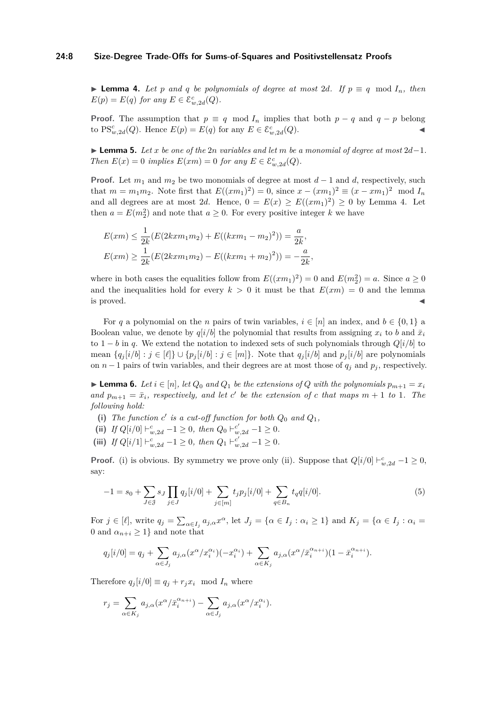#### **24:8 Size-Degree Trade-Offs for Sums-of-Squares and Positivstellensatz Proofs**

▶ **Lemma 4.** Let *p* and *q* be polynomials of degree at most 2*d*. If  $p \equiv q \mod I_n$ , then  $E(p) = E(q)$  *for any*  $E \in \mathcal{E}_{w, 2d}^c(Q)$ *.* 

**Proof.** The assumption that  $p \equiv q \mod I_n$  implies that both  $p - q$  and  $q - p$  belong to PS<sup>c</sup><sub>*w*,2*d*</sub>(*Q*). Hence  $E(p) = E(q)$  for any  $E \in \mathcal{E}_{w,2d}^c(Q)$ .

<span id="page-7-2"></span>I **Lemma 5.** *Let x be one of the* 2*n variables and let m be a monomial of degree at most* 2*d*−1*. Then*  $E(x) = 0$  *implies*  $E(xm) = 0$  *for any*  $E \in \mathcal{E}_{w,2d}^c(Q)$ *.* 

**Proof.** Let  $m_1$  and  $m_2$  be two monomials of degree at most  $d-1$  and  $d$ , respectively, such that  $m = m_1 m_2$ . Note first that  $E((xm_1)^2) = 0$ , since  $x - (xm_1)^2 \equiv (x - xm_1)^2 \mod I_n$ and all degrees are at most 2d. Hence,  $0 = E(x) \ge E((xm_1)^2) \ge 0$  by Lemma [4.](#page-6-1) Let then  $a = E(m_2^2)$  and note that  $a \geq 0$ . For every positive integer k we have

$$
E(xm) \le \frac{1}{2k} (E(2kxm_1m_2) + E((kxm_1 - m_2)^2)) = \frac{a}{2k},
$$
  

$$
E(xm) \ge \frac{1}{2k} (E(2kxm_1m_2) - E((kxm_1 + m_2)^2)) = -\frac{a}{2k},
$$

where in both cases the equalities follow from  $E((xm_1)^2) = 0$  and  $E(m_2^2) = a$ . Since  $a \ge 0$ and the inequalities hold for every  $k > 0$  it must be that  $E(xm) = 0$  and the lemma  $\blacksquare$  is proved.

For *q* a polynomial on the *n* pairs of twin variables,  $i \in [n]$  an index, and  $b \in \{0, 1\}$  a Boolean value, we denote by  $q[i/b]$  the polynomial that results from assigning  $x_i$  to *b* and  $\bar{x}_i$ to  $1 - b$  in *q*. We extend the notation to indexed sets of such polynomials through  $Q[i/b]$  to mean  $\{q_i[i/b] : j \in [\ell]\} \cup \{p_j[i/b] : j \in [m]\}.$  Note that  $q_j[i/b]$  and  $p_j[i/b]$  are polynomials on *n* − 1 pairs of twin variables, and their degrees are at most those of  $q_i$  and  $p_j$ , respectively.

<span id="page-7-0"></span>▶ **Lemma 6.** *Let*  $i \in [n]$ *, let*  $Q_0$  *and*  $Q_1$  *be the extensions of*  $Q$  *with the polynomials*  $p_{m+1} = x_i$ *and*  $p_{m+1} = \bar{x}_i$ , respectively, and let *c*<sup> $\prime$ </sup> be the extension of *c* that maps  $m + 1$  to 1*. The following hold:*

- (i) The function  $c'$  is a cut-off function for both  $Q_0$  and  $Q_1$ ,
- **(ii)** *If*  $Q[i/0] \vdash_{w,2d}^{c} -1 \geq 0$ *, then*  $Q_0 \vdash_{w,2d}^{c'} -1 \geq 0$ *.*
- (iii) *If*  $Q[i/1] \vdash w_{w,2d} 1 \geq 0$ , then  $Q_1 \vdash w_{w,2d} 1 \geq 0$ .

<span id="page-7-1"></span>**Proof.** (i) is obvious. By symmetry we prove only (ii). Suppose that  $Q[i/0] \vdash_{w,2d}^c -1 \geq 0$ , say:

$$
-1 = s_0 + \sum_{J \in \mathcal{J}} s_J \prod_{j \in J} q_j[i/0] + \sum_{j \in [m]} t_j p_j[i/0] + \sum_{q \in B_n} t_q q[i/0]. \tag{5}
$$

For  $j \in [\ell]$ , write  $q_j = \sum_{\alpha \in I_j} a_{j,\alpha} x^{\alpha}$ , let  $J_j = \{ \alpha \in I_j : \alpha_i \geq 1 \}$  and  $K_j = \{ \alpha \in I_j : \alpha_i = \ell \}$ 0 and  $\alpha_{n+i} \geq 1$  and note that

$$
q_j[i/0] = q_j + \sum_{\alpha \in J_j} a_{j,\alpha}(x^{\alpha}/x_i^{\alpha_i})(-x_i^{\alpha_i}) + \sum_{\alpha \in K_j} a_{j,\alpha}(x^{\alpha}/\bar{x}_i^{\alpha_{n+i}})(1 - \bar{x}_i^{\alpha_{n+i}}).
$$

Therefore  $q_i[i/0] \equiv q_i + r_j x_i \mod I_n$  where

$$
r_j = \sum_{\alpha \in K_j} a_{j,\alpha} (x^{\alpha}/\bar{x}_i^{\alpha_{n+i}}) - \sum_{\alpha \in J_j} a_{j,\alpha} (x^{\alpha}/x_i^{\alpha_i}).
$$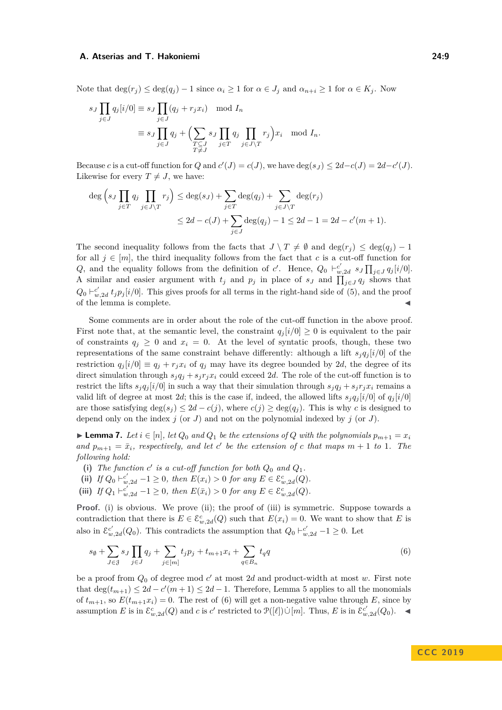Note that  $\deg(r_i) \leq \deg(q_i) - 1$  since  $\alpha_i \geq 1$  for  $\alpha \in J_i$  and  $\alpha_{n+i} \geq 1$  for  $\alpha \in K_i$ . Now

$$
s_J \prod_{j \in J} q_j[i/0] \equiv s_J \prod_{j \in J} (q_j + r_j x_i) \mod I_n
$$
  

$$
\equiv s_J \prod_{j \in J} q_j + \left( \sum_{\substack{T \subseteq J \\ T \neq J}} s_J \prod_{j \in T} q_j \prod_{j \in J \setminus T} r_j \right) x_i \mod I_n.
$$

Because *c* is a cut-off function for *Q* and  $c'(J) = c(J)$ , we have  $deg(s_J) \leq 2d - c(J) = 2d - c'(J)$ . Likewise for every  $T \neq J$ , we have:

$$
\deg\left(s_J \prod_{j \in T} q_j \prod_{j \in J \setminus T} r_j\right) \le \deg(s_J) + \sum_{j \in T} \deg(q_j) + \sum_{j \in J \setminus T} \deg(r_j)
$$
  

$$
\le 2d - c(J) + \sum_{j \in J} \deg(q_j) - 1 \le 2d - 1 = 2d - c'(m + 1).
$$

The second inequality follows from the facts that  $J \setminus T \neq \emptyset$  and  $\deg(r_i) \leq \deg(q_i) - 1$ for all  $j \in [m]$ , the third inequality follows from the fact that *c* is a cut-off function for *Q*, and the equality follows from the definition of *c*'. Hence,  $Q_0 \vdash_{w,2d}^{c'} s_J \prod_{j\in J} q_j[i/0].$ A similar and easier argument with  $t_j$  and  $p_j$  in place of  $s_j$  and  $\prod_{j\in J} q_j$  shows that  $Q_0 \vdash_{w,2d}^{c'} t_j p_j[i/0]$ . This gives proofs for all terms in the right-hand side of [\(5\)](#page-7-1), and the proof of the lemma is complete.  $\hfill\blacktriangleleft$ 

Some comments are in order about the role of the cut-off function in the above proof. First note that, at the semantic level, the constraint  $q_i[i/0] \geq 0$  is equivalent to the pair of constraints  $q_j \geq 0$  and  $x_i = 0$ . At the level of syntatic proofs, though, these two representations of the same constraint behave differently: although a lift  $s_i q_i |i/0|$  of the restriction  $q_i[i/0] \equiv q_i + r_i x_i$  of  $q_i$  may have its degree bounded by 2*d*, the degree of its direct simulation through  $s_i q_i + s_j r_i x_i$  could exceed 2*d*. The role of the cut-off function is to restrict the lifts  $s_j q_j[i/0]$  in such a way that their simulation through  $s_j q_j + s_j r_j x_i$  remains a valid lift of degree at most 2*d*; this is the case if, indeed, the allowed lifts  $s_i q_j$  [ $i/0$ ] of  $q_j$ [ $i/0$ ] are those satisfying  $\deg(s_i) \leq 2d - c(j)$ , where  $c(j) \geq \deg(q_i)$ . This is why *c* is designed to depend only on the index *j* (or *J*) and not on the polynomial indexed by *j* (or *J*).

<span id="page-8-1"></span>► **Lemma 7.** Let  $i \in [n]$ , let  $Q_0$  and  $Q_1$  be the extensions of  $Q$  with the polynomials  $p_{m+1} = x_i$ *and*  $p_{m+1} = \bar{x}_i$ , respectively, and let *c*<sup> $\prime$ </sup> be the extension of *c* that maps  $m + 1$  to 1*. The following hold:*

- (i) The function  $c'$  is a cut-off function for both  $Q_0$  and  $Q_1$ .
- (ii) *If*  $Q_0 \vdash_{w,2d}^{c'} 1 \geq 0$ *, then*  $E(x_i) > 0$  *for any*  $E \in \mathcal{E}_{w,2d}^{c}(Q)$ *.*
- (iii) *If*  $Q_1 \vdash_{w,2d}^{c'} 1 \geq 0$ *, then*  $E(\bar{x}_i) > 0$  *for any*  $E \in \mathcal{E}_{w,2d}^c(Q)$ *.*

**Proof.** (i) is obvious. We prove (ii); the proof of (iii) is symmetric. Suppose towards a contradiction that there is  $E \in \mathcal{E}_{w,2d}^c(Q)$  such that  $E(x_i) = 0$ . We want to show that *E* is also in  $\mathcal{E}^{c'}_{w,2d}(Q_0)$ . This contradicts the assumption that  $Q_0 \vdash_{w,2d}^{c'} -1 \geq 0$ . Let

<span id="page-8-0"></span>
$$
s_{\emptyset} + \sum_{J \in \mathcal{J}} s_J \prod_{j \in J} q_j + \sum_{j \in [m]} t_j p_j + t_{m+1} x_i + \sum_{q \in B_n} t_q q \tag{6}
$$

<span id="page-8-2"></span>be a proof from  $Q_0$  of degree mod  $c'$  at most 2*d* and product-width at most  $w$ . First note that  $\deg(t_{m+1}) \leq 2d - c'(m+1) \leq 2d - 1$ . Therefore, Lemma [5](#page-7-2) applies to all the monomials of  $t_{m+1}$ , so  $E(t_{m+1}x_i) = 0$ . The rest of [\(6\)](#page-8-0) will get a non-negative value through *E*, since by assumption *E* is in  $\mathcal{E}^c_{w,2d}(Q)$  and *c* is *c'* restricted to  $\mathcal{P}([\ell]) \cup [m]$ . Thus, *E* is in  $\mathcal{E}^{c'}_{w,2d}(Q_0)$ .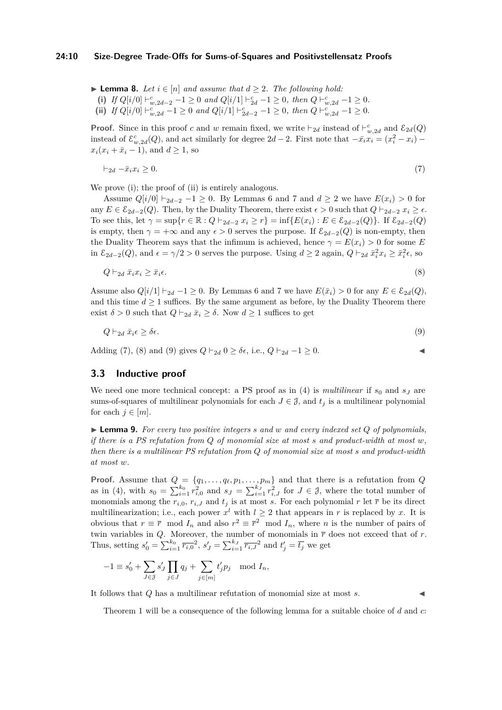▶ **Lemma 8.** *Let*  $i \in [n]$  *and assume that*  $d \ge 2$ *. The following hold:* (i) *If*  $Q[i/0] \vdash_{w,2d-2}^{c} -1 \geq 0$  *and*  $Q[i/1] \vdash_{2d}^{c} -1 \geq 0$ *, then*  $Q \vdash_{w,2d}^{c} -1 \geq 0$ *.* **(ii)** *If*  $Q[i/0] \vdash w_{w,2d}^c - 1 \ge 0$  *and*  $Q[i/1] \vdash z_{2d-2}^c - 1 \ge 0$ *, then*  $Q \vdash w_{w,2d}^c - 1 \ge 0$ .

**Proof.** Since in this proof *c* and *w* remain fixed, we write  $\vdash_{2d}$  instead of  $\vdash_{w,2d}^c$  and  $\mathcal{E}_{2d}(Q)$ instead of  $\mathcal{E}_{w,2d}^c(Q)$ , and act similarly for degree  $2d-2$ . First note that  $-\bar{x}_ix_i = (x_i^2 - x_i)$  $x_i(x_i + \bar{x}_i - 1)$ , and  $d \ge 1$ , so

<span id="page-9-0"></span>
$$
\vdash_{2d} -\bar{x}_i x_i \ge 0. \tag{7}
$$

We prove (i); the proof of (ii) is entirely analogous.

Assume  $Q[i/0] \vdash_{2d-2} -1 > 0$ . By Lemmas [6](#page-7-0) and [7](#page-8-1) and  $d > 2$  we have  $E(x_i) > 0$  for any  $E \in \mathcal{E}_{2d-2}(Q)$ . Then, by the Duality Theorem, there exist  $\epsilon > 0$  such that  $Q \vdash_{2d-2} x_i \geq \epsilon$ . To see this, let  $\gamma = \sup\{r \in \mathbb{R} : Q \vdash_{2d-2} x_i \geq r\} = \inf\{E(x_i) : E \in \mathcal{E}_{2d-2}(Q)\}.$  If  $\mathcal{E}_{2d-2}(Q)$ is empty, then  $\gamma = +\infty$  and any  $\epsilon > 0$  serves the purpose. If  $\mathcal{E}_{2d-2}(Q)$  is non-empty, then the Duality Theorem says that the infimum is achieved, hence  $\gamma = E(x_i) > 0$  for some *E* in  $\mathcal{E}_{2d-2}(Q)$ , and  $\epsilon = \gamma/2 > 0$  serves the purpose. Using  $d \geq 2$  again,  $Q \vdash_{2d} \bar{x}_i^2 x_i \geq \bar{x}_i^2 \epsilon$ , so

$$
Q \vdash_{2d} \bar{x}_i x_i \ge \bar{x}_i \epsilon. \tag{8}
$$

Assume also  $Q[i/1] \vdash_{2d} -1 \geq 0$ . By Lemmas [6](#page-7-0) and [7](#page-8-1) we have  $E(\bar{x}_i) > 0$  for any  $E \in \mathcal{E}_{2d}(Q)$ , and this time  $d \geq 1$  suffices. By the same argument as before, by the Duality Theorem there exist  $\delta > 0$  such that  $Q \vdash_{2d} \bar{x}_i \geq \delta$ . Now  $d \geq 1$  suffices to get

$$
Q \vdash_{2d} \bar{x}_i \epsilon \ge \delta \epsilon. \tag{9}
$$

Adding [\(7\)](#page-9-0), [\(8\)](#page-9-1) and [\(9\)](#page-9-2) gives  $Q \vdash_{2d} 0 \ge \delta \epsilon$ , i.e.,  $Q \vdash_{2d} -1 \ge 0$ .

<span id="page-9-2"></span><span id="page-9-1"></span>
$$
\overline{a}
$$

## **3.3 Inductive proof**

We need one more technical concept: a PS proof as in  $(4)$  is *multilinear* if  $s_0$  and  $s_J$  are sums-of-squares of multilinear polynomials for each  $J \in \mathcal{J}$ , and  $t_j$  is a multilinear polynomial for each  $j \in [m]$ .

<span id="page-9-3"></span> $\blacktriangleright$  **Lemma 9.** For every two positive integers *s* and *w* and every indexed set Q of polynomials, *if there is a PS refutation from Q of monomial size at most s and product-width at most w, then there is a multilinear PS refutation from Q of monomial size at most s and product-width at most w.*

**Proof.** Assume that  $Q = \{q_1, \ldots, q_\ell, p_1, \ldots, p_m\}$  and that there is a refutation from  $Q$ as in [\(4\)](#page-4-0), with  $s_0 = \sum_{i=1}^{k_0} r_{i,0}^2$  and  $s_J = \sum_{i=1}^{k_J} r_{i,J}^2$  for  $J \in \mathcal{J}$ , where the total number of monomials among the  $r_{i,0}$ ,  $r_{i,J}$  and  $t_j$  is at most *s*. For each polynomial  $r$  let  $\bar{r}$  be its direct multilinearization; i.e., each power  $x^l$  with  $l \geq 2$  that appears in r is replaced by x. It is obvious that  $r \equiv \overline{r} \mod I_n$  and also  $r^2 \equiv \overline{r}^2 \mod I_n$ , where *n* is the number of pairs of twin variables in *Q*. Moreover, the number of monomials in  $\bar{r}$  does not exceed that of *r*. Thus, setting  $s'_0 = \sum_{i=1}^{k_0} \overline{r_{i,0}}^2$ ,  $s'_J = \sum_{i=1}^{k_J} \overline{r_{i,J}}^2$  and  $t'_j = \overline{t_j}$  we get

$$
-1 \equiv s'_0 + \sum_{J \in \mathcal{J}} s'_J \prod_{j \in J} q_j + \sum_{j \in [m]} t'_j p_j \mod I_n,
$$

It follows that *Q* has a multilinear refutation of monomial size at most *s*.

<span id="page-9-4"></span>Theorem [1](#page-5-1) will be a consequence of the following lemma for a suitable choice of *d* and *c*: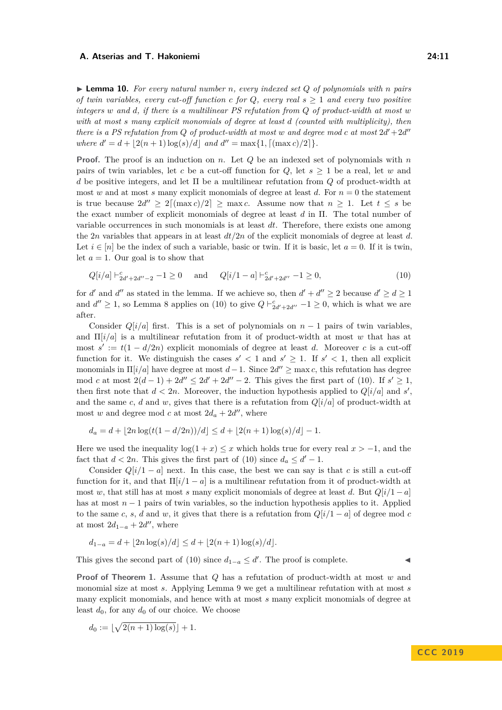$\blacktriangleright$  **Lemma 10.** For every natural number *n*, every indexed set Q of polynomials with *n* pairs *of twin variables, every cut-off function c for*  $Q$ *, every real*  $s \geq 1$  *and every two positive integers w and d, if there is a multilinear PS refutation from Q of product-width at most w with at most s many explicit monomials of degree at least d (counted with multiplicity), then there is a PS refutation from Q of product-width at most w and degree mod c at most*  $2d' + 2d''$ *where*  $d' = d + |2(n + 1)\log(s)/d|$  *and*  $d'' = \max\{1, \lfloor(\max c)/2\rfloor\}.$ 

**Proof.** The proof is an induction on *n*. Let *Q* be an indexed set of polynomials with *n* pairs of twin variables, let c be a cut-off function for  $Q$ , let  $s \geq 1$  be a real, let w and *d* be positive integers, and let Π be a multilinear refutation from *Q* of product-width at most *w* and at most *s* many explicit monomials of degree at least *d*. For  $n = 0$  the statement is true because  $2d'' \geq 2[(\max c)/2] \geq \max c$ . Assume now that  $n \geq 1$ . Let  $t \leq s$  be the exact number of explicit monomials of degree at least *d* in Π. The total number of variable occurrences in such monomials is at least *dt*. Therefore, there exists one among the 2*n* variables that appears in at least *dt/*2*n* of the explicit monomials of degree at least *d*. Let  $i \in [n]$  be the index of such a variable, basic or twin. If it is basic, let  $a = 0$ . If it is twin, let  $a = 1$ . Our goal is to show that

<span id="page-10-0"></span>
$$
Q[i/a] \vdash_{2d'+2d''-2}^c - 1 \ge 0 \quad \text{and} \quad Q[i/1-a] \vdash_{2d'+2d''}^c - 1 \ge 0,
$$
\n
$$
(10)
$$

for *d'* and *d''* as stated in the lemma. If we achieve so, then  $d' + d'' \ge 2$  because  $d' \ge d \ge 1$ and  $d'' \ge 1$ , so Lemma [8](#page-8-2) applies on [\(10\)](#page-10-0) to give  $Q \vdash_{2d'+2d''}^c -1 \ge 0$ , which is what we are after.

Consider  $Q[i/a]$  first. This is a set of polynomials on  $n-1$  pairs of twin variables, and Π[*i/a*] is a multilinear refutation from it of product-width at most *w* that has at most  $s' := t(1 - d/2n)$  explicit monomials of degree at least *d*. Moreover *c* is a cut-off function for it. We distinguish the cases  $s' < 1$  and  $s' \geq 1$ . If  $s' < 1$ , then all explicit monomials in  $\Pi[i/a]$  have degree at most  $d-1$ . Since  $2d'' \ge \max c$ , this refutation has degree mod *c* at most  $2(d-1) + 2d'' \le 2d' + 2d'' - 2$ . This gives the first part of [\(10\)](#page-10-0). If  $s' \ge 1$ , then first note that  $d < 2n$ . Moreover, the induction hypothesis applied to  $Q[i/a]$  and  $s'$ , and the same *c*, *d* and *w*, gives that there is a refutation from  $Q[i/a]$  of product-width at most *w* and degree mod *c* at most  $2d_a + 2d''$ , where

$$
d_a = d + \lfloor 2n \log(t(1 - d/2n))/d \rfloor \le d + \lfloor 2(n+1) \log(s)/d \rfloor - 1.
$$

Here we used the inequality  $\log(1 + x) \leq x$  which holds true for every real  $x > -1$ , and the fact that  $d < 2n$ . This gives the first part of [\(10\)](#page-10-0) since  $d_a \leq d' - 1$ .

Consider  $Q[i/1 - a]$  next. In this case, the best we can say is that *c* is still a cut-off function for it, and that  $\Pi[i/1 - a]$  is a multilinear refutation from it of product-width at most *w*, that still has at most *s* many explicit monomials of degree at least *d*. But  $Q[i/1 - a]$ has at most *n* − 1 pairs of twin variables, so the induction hypothesis applies to it. Applied to the same *c*, *s*, *d* and *w*, it gives that there is a refutation from  $Q[i/1 - a]$  of degree mod *c* at most  $2d_{1-a} + 2d''$ , where

$$
d_{1-a} = d + \lfloor 2n \log(s)/d \rfloor \le d + \lfloor 2(n+1) \log(s)/d \rfloor.
$$

This gives the second part of [\(10\)](#page-10-0) since  $d_{1-a} \leq d'$ . The proof is complete.

**Proof of Theorem [1.](#page-5-1)** Assume that *Q* has a refutation of product-width at most *w* and monomial size at most *s*. Applying Lemma [9](#page-9-3) we get a multilinear refutation with at most *s* many explicit monomials, and hence with at most *s* many explicit monomials of degree at least  $d_0$ , for any  $d_0$  of our choice. We choose

$$
d_0 := \lfloor \sqrt{2(n+1)\log(s)} \rfloor + 1.
$$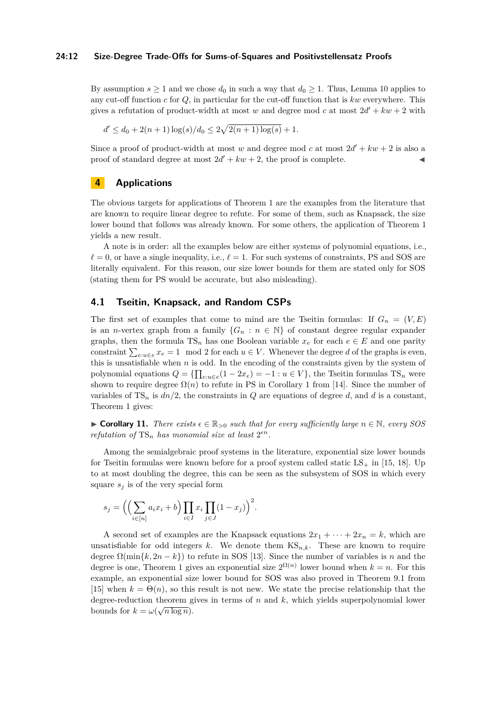#### **24:12 Size-Degree Trade-Offs for Sums-of-Squares and Positivstellensatz Proofs**

By assumption  $s \ge 1$  and we chose  $d_0$  in such a way that  $d_0 \ge 1$ . Thus, Lemma [10](#page-9-4) applies to any cut-off function *c* for *Q*, in particular for the cut-off function that is *kw* everywhere. This gives a refutation of product-width at most *w* and degree mod *c* at most  $2d' + kw + 2$  with

$$
d' \le d_0 + 2(n+1)\log(s)/d_0 \le 2\sqrt{2(n+1)\log(s)} + 1.
$$

Since a proof of product-width at most *w* and degree mod *c* at most  $2d' + kw + 2$  is also a proof of standard degree at most  $2d' + kw + 2$ , the proof is complete.

## <span id="page-11-0"></span>**4 Applications**

The obvious targets for applications of Theorem [1](#page-5-1) are the examples from the literature that are known to require linear degree to refute. For some of them, such as Knapsack, the size lower bound that follows was already known. For some others, the application of Theorem [1](#page-5-1) yields a new result.

A note is in order: all the examples below are either systems of polynomial equations, i.e.,  $\ell = 0$ , or have a single inequality, i.e.,  $\ell = 1$ . For such systems of constraints, PS and SOS are literally equivalent. For this reason, our size lower bounds for them are stated only for SOS (stating them for PS would be accurate, but also misleading).

## **4.1 Tseitin, Knapsack, and Random CSPs**

The first set of examples that come to mind are the Tseitin formulas: If  $G_n = (V, E)$ is an *n*-vertex graph from a family  ${G_n : n \in \mathbb{N}}$  of constant degree regular expander graphs, then the formula  $TS_n$  has one Boolean variable  $x_e$  for each  $e \in E$  and one parity constraint  $\sum_{e: u \in e} x_e = 1 \mod 2$  for each  $u \in V$ . Whenever the degree *d* of the graphs is even, this is unsatisfiable when *n* is odd. In the encoding of the constraints given by the system of polynomial equations  $Q = \{\prod_{e: u \in e} (1 - 2x_e) = -1 : u \in V\}$ , the Tseitin formulas TS<sub>n</sub> were shown to require degree  $\Omega(n)$  to refute in PS in Corollary 1 from [\[14\]](#page-18-14). Since the number of variables of  $TS_n$  is  $dn/2$ , the constraints in *Q* are equations of degree *d*, and *d* is a constant, Theorem [1](#page-5-1) gives:

 $\triangleright$  **Corollary 11.** *There exists*  $\epsilon \in \mathbb{R}_{>0}$  *such that for every sufficiently large*  $n \in \mathbb{N}$ *, every SOS refutation of*  $TS_n$  *has monomial size at least*  $2^{\epsilon n}$ *.* 

Among the semialgebraic proof systems in the literature, exponential size lower bounds for Tseitin formulas were known before for a proof system called static  $LS_+$  in [\[15,](#page-18-12) [18\]](#page-18-16). Up to at most doubling the degree, this can be seen as the subsystem of SOS in which every square  $s_i$  is of the very special form

$$
s_j = \left( \left( \sum_{i \in [n]} a_i x_i + b \right) \prod_{i \in I} x_i \prod_{j \in J} (1 - x_j) \right)^2.
$$

A second set of examples are the Knapsack equations  $2x_1 + \cdots + 2x_n = k$ , which are unsatisfiable for odd integers  $k$ . We denote them  $\text{KS}_{n,k}$ . These are known to require degree  $\Omega(\min\{k, 2n - k\})$  to refute in SOS [\[13\]](#page-18-11). Since the number of variables is *n* and the degree is one, Theorem [1](#page-5-1) gives an exponential size  $2^{\Omega(n)}$  lower bound when  $k = n$ . For this example, an exponential size lower bound for SOS was also proved in Theorem 9.1 from [\[15\]](#page-18-12) when  $k = \Theta(n)$ , so this result is not new. We state the precise relationship that the degree-reduction theorem gives in terms of *n* and *k*, which yields superpolynomial lower bounds for  $k = \omega(\sqrt{n \log n})$ .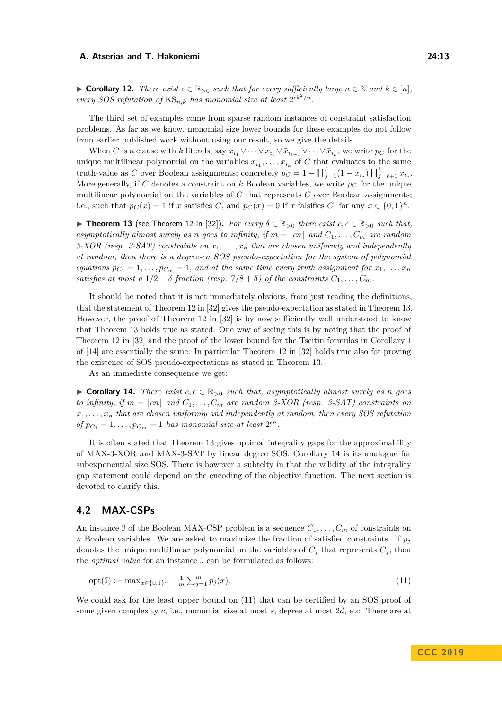► **Corollary 12.** *There exist*  $\epsilon \in \mathbb{R}_{>0}$  *such that for every sufficiently large*  $n \in \mathbb{N}$  *and*  $k \in [n]$ *, every SOS refutation of*  $\text{KS}_{n,k}$  *has monomial size at least*  $2^{\epsilon k^2/n}$ *.* 

The third set of examples come from sparse random instances of constraint satisfaction problems. As far as we know, monomial size lower bounds for these examples do not follow from earlier published work without using our result, so we give the details.

When *C* is a clause with *k* literals, say  $x_{i_1} \vee \cdots \vee x_{i_\ell} \vee \overline{x}_{i_{\ell+1}} \vee \cdots \vee \overline{x}_{i_k}$ , we write  $p_C$  for the unique multilinear polynomial on the variables  $x_{i_1}, \ldots, x_{i_k}$  of C that evaluates to the same truth-value as *C* over Boolean assignments; concretely  $p_C = 1 - \prod_{j=1}^{\ell} (1 - x_{i_j}) \prod_{j=\ell+1}^{k} x_{i_j}$ . More generally, if C denotes a constraint on  $k$  Boolean variables, we write  $p<sub>C</sub>$  for the unique multilinear polynomial on the variables of *C* that represents *C* over Boolean assignments; i.e., such that  $p_C(x) = 1$  if *x* satisfies *C*, and  $p_C(x) = 0$  if *x* falsifies *C*, for any  $x \in \{0,1\}^n$ .

<span id="page-12-0"></span>**► Theorem 13** (see Theorem 12 in [\[32\]](#page-19-7)). *For every*  $\delta \in \mathbb{R}_{>0}$  *there exist*  $c, \epsilon \in \mathbb{R}_{>0}$  *such that, asymptotically almost surely as n goes to infinity, if*  $m = [cn]$  *and*  $C_1, \ldots, C_m$  *are random 3-XOR (resp. 3-SAT) constraints on x*1*, . . . , x<sup>n</sup> that are chosen uniformly and independently at random, then there is a degree-n SOS pseudo-expectation for the system of polynomial equations*  $p_{C_1} = 1, \ldots, p_{C_m} = 1$ , and at the same time every truth assignment for  $x_1, \ldots, x_n$ *satisfies at most a*  $1/2 + \delta$  *fraction (resp.*  $7/8 + \delta$ ) *of the constraints*  $C_1, \ldots, C_m$ .

It should be noted that it is not immediately obvious, from just reading the definitions, that the statement of Theorem 12 in [\[32\]](#page-19-7) gives the pseudo-expectation as stated in Theorem [13.](#page-12-0) However, the proof of Theorem 12 in [\[32\]](#page-19-7) is by now sufficiently well understood to know that Theorem [13](#page-12-0) holds true as stated. One way of seeing this is by noting that the proof of Theorem 12 in [\[32\]](#page-19-7) and the proof of the lower bound for the Tseitin formulas in Corollary 1 of [\[14\]](#page-18-14) are essentially the same. In particular Theorem 12 in [\[32\]](#page-19-7) holds true also for proving the existence of SOS pseudo-expectations as stated in Theorem [13.](#page-12-0)

As an immediate consequence we get:

<span id="page-12-1"></span>► **Corollary 14.** *There exist*  $c, \epsilon \in \mathbb{R}_{>0}$  *such that, asymptotically almost surely as n goes to infinity, if*  $m = \lceil cn \rceil$  and  $C_1, \ldots, C_m$  are random 3-XOR (resp. 3-SAT) constraints on  $x_1, \ldots, x_n$  that are chosen uniformly and independently at random, then every SOS refutation *of*  $p_{C_1} = 1, \ldots, p_{C_m} = 1$  *has monomial size at least*  $2^{\epsilon n}$ *.* 

It is often stated that Theorem [13](#page-12-0) gives optimal integrality gaps for the approximability of MAX-3-XOR and MAX-3-SAT by linear degree SOS. Corollary [14](#page-12-1) is its analogue for subexponential size SOS. There is however a subtelty in that the validity of the integrality gap statement could depend on the encoding of the objective function. The next section is devoted to clarify this.

## **4.2 MAX-CSPs**

An instance J of the Boolean MAX-CSP problem is a sequence  $C_1, \ldots, C_m$  of constraints on *n* Boolean variables. We are asked to maximize the fraction of satisfied constraints. If  $p_j$ denotes the unique multilinear polynomial on the variables of  $C_i$  that represents  $C_i$ , then the *optimal value* for an instance I can be formulated as follows:

<span id="page-12-2"></span>
$$
opt(\mathcal{I}) := \max_{x \in \{0,1\}^n} \quad \frac{1}{m} \sum_{j=1}^m p_j(x). \tag{11}
$$

We could ask for the least upper bound on [\(11\)](#page-12-2) that can be certified by an SOS proof of some given complexity *c*, i.e., monomial size at most *s*, degree at most 2*d*, etc. There are at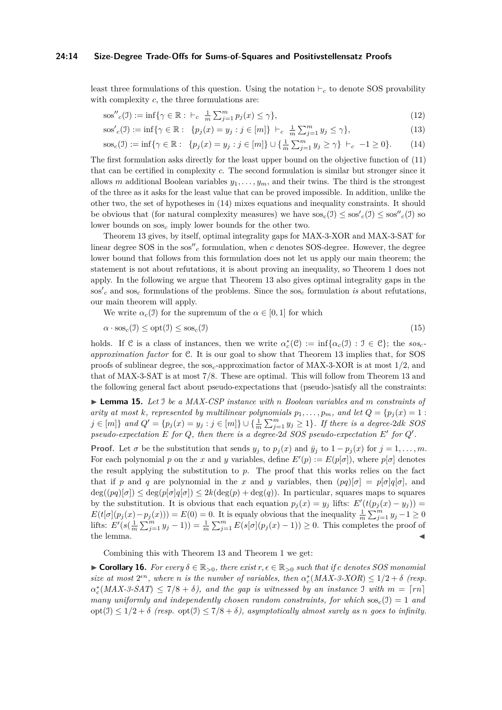#### **24:14 Size-Degree Trade-Offs for Sums-of-Squares and Positivstellensatz Proofs**

least three formulations of this question. Using the notation  $\vdash_c$  to denote SOS provability with complexity *c*, the three formulations are:

$$
\text{sos}''_c(\mathbf{I}) := \inf \{ \gamma \in \mathbb{R} : \vdash_c \frac{1}{m} \sum_{j=1}^m p_j(x) \le \gamma \},\tag{12}
$$

<span id="page-13-0"></span>
$$
\cos'_{c}(J) := \inf \{ \gamma \in \mathbb{R} : \ \{ p_j(x) = y_j : j \in [m] \} \ \vdash_c \ \frac{1}{m} \sum_{j=1}^{m} y_j \leq \gamma \},\tag{13}
$$

$$
sos_c(\mathcal{I}) := \inf \{ \gamma \in \mathbb{R} : \ \{ p_j(x) = y_j : j \in [m] \} \cup \{ \frac{1}{m} \sum_{j=1}^m y_j \ge \gamma \} \ \vdash_c \ -1 \ge 0 \}. \tag{14}
$$

The first formulation asks directly for the least upper bound on the objective function of [\(11\)](#page-12-2) that can be certified in complexity *c*. The second formulation is similar but stronger since it allows *m* additional Boolean variables  $y_1, \ldots, y_m$ , and their twins. The third is the strongest of the three as it asks for the least value that can be proved impossible. In addition, unlike the other two, the set of hypotheses in [\(14\)](#page-13-0) mixes equations and inequality constraints. It should be obvious that (for natural complexity measures) we have  $\cos_c(1) \leq \cos_c'(1) \leq \cos_c'(1)$  so lower bounds on sos*<sup>c</sup>* imply lower bounds for the other two.

Theorem [13](#page-12-0) gives, by itself, optimal integrality gaps for MAX-3-XOR and MAX-3-SAT for linear degree SOS in the  $\cos''_c$  formulation, when  $c$  denotes SOS-degree. However, the degree lower bound that follows from this formulation does not let us apply our main theorem; the statement is not about refutations, it is about proving an inequality, so Theorem [1](#page-5-1) does not apply. In the following we argue that Theorem [13](#page-12-0) also gives optimal integrality gaps in the  $\cos^{\prime} c$  and  $\cos c$  formulations of the problems. Since the  $\cos c$  formulation *is* about refutations, our main theorem will apply.

We write  $\alpha_c(1)$  for the supremum of the  $\alpha \in [0,1]$  for which

$$
\alpha \cdot \text{sos}_c(\mathbf{I}) \le \text{opt}(\mathbf{I}) \le \text{sos}_c(\mathbf{I}) \tag{15}
$$

holds. If C is a class of instances, then we write  $\alpha_c^*(\mathcal{C}) := \inf{\alpha_c(\mathcal{I}) : \mathcal{I} \in \mathcal{C}}$ ; the  $sos_c$ *approximation factor* for C. It is our goal to show that Theorem [13](#page-12-0) implies that, for SOS proofs of sublinear degree, the sos*c*-approximation factor of MAX-3-XOR is at most 1*/*2, and that of MAX-3-SAT is at most 7*/*8. These are optimal. This will follow from Theorem [13](#page-12-0) and the following general fact about pseudo-expectations that (pseudo-)satisfy all the constraints:

I **Lemma 15.** *Let* I *be a MAX-CSP instance with n Boolean variables and m constraints of arity at most k, represented by multilinear polynomials*  $p_1, \ldots, p_m$ *, and let*  $Q = \{p_j(x) = 1 : j \in \mathbb{N}\}$  $j \in [m]$  and  $Q' = \{p_j(x) = y_j : j \in [m]\} \cup \{\frac{1}{m} \sum_{j=1}^m y_j \ge 1\}$ . If there is a degree-2dk SOS *pseudo-expectation*  $E$  *for*  $Q$ *, then there is a degree-2d SOS pseudo-expectation*  $E'$  *for*  $Q'$ *.* 

**Proof.** Let  $\sigma$  be the substitution that sends  $y_j$  to  $p_j(x)$  and  $\bar{y}_j$  to  $1 - p_j(x)$  for  $j = 1, \ldots, m$ . For each polynomial *p* on the *x* and *y* variables, define  $E'(p) := E(p|\sigma|)$ , where  $p|\sigma|$  denotes the result applying the substitution to *p*. The proof that this works relies on the fact that if *p* and *q* are polynomial in the *x* and *y* variables, then  $(pq)[\sigma] = p[\sigma]q[\sigma]$ , and  $deg((pq)[\sigma]) \leq deg(p[\sigma]q[\sigma]) \leq 2k(deg(p) + deg(q))$ . In particular, squares maps to squares by the substitution. It is obvious that each equation  $p_j(x) = y_j$  lifts:  $E'(t(p_j(x) - y_j)) =$  $E(t[\sigma](p_j(x)-p_j(x))) = E(0) = 0$ . It is equaly obvious that the inequality  $\frac{1}{m}\sum_{j=1}^m y_j - 1 \ge 0$ lifts:  $E'(s(\frac{1}{m}\sum_{j=1}^{m}y_j-1))=\frac{1}{m}\sum_{j=1}^{m}E(s[\sigma](p_j(x)-1))\geq 0$ . This completes the proof of the lemma.  $\blacksquare$ 

Combining this with Theorem [13](#page-12-0) and Theorem [1](#page-5-1) we get:

 $\triangleright$  **Corollary 16.** *For every*  $\delta \in \mathbb{R}_{>0}$ , *there exist r*,  $\epsilon \in \mathbb{R}_{>0}$  *such that if c denotes SOS monomial size at most*  $2^{\epsilon n}$ *, where n is the number of variables, then*  $\alpha_c^*(MAX-3-XOR) \leq 1/2 + \delta$  (resp.  $\alpha_c^*(MAX-3-SAT) \leq 7/8 + \delta$ , and the gap is witnessed by an instance I with  $m = \lceil rn \rceil$ *many uniformly and independently chosen random constraints, for which*  $\text{soc}(1) = 1$  *and*  $\text{opt}(1) \leq 1/2 + \delta$  (resp.  $\text{opt}(1) \leq 7/8 + \delta$ ), asymptotically almost surely as *n* goes to infinity.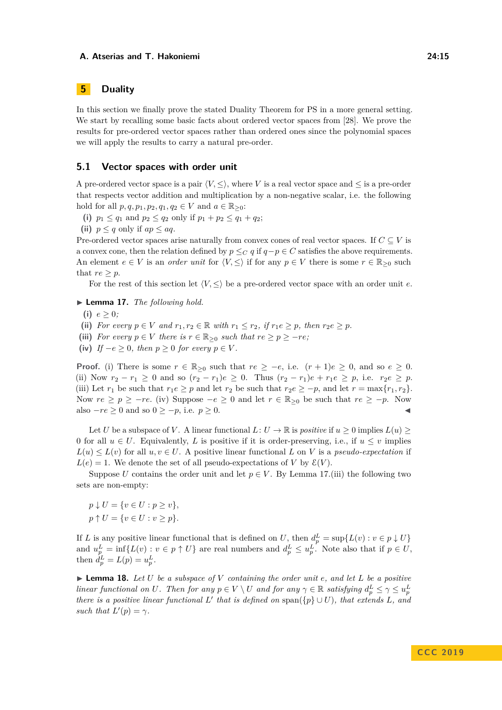## <span id="page-14-0"></span>**5 Duality**

In this section we finally prove the stated Duality Theorem for PS in a more general setting. We start by recalling some basic facts about ordered vector spaces from [\[28\]](#page-19-6). We prove the results for pre-ordered vector spaces rather than ordered ones since the polynomial spaces we will apply the results to carry a natural pre-order.

## **5.1 Vector spaces with order unit**

A pre-ordered vector space is a pair  $\langle V, \leq \rangle$ , where *V* is a real vector space and  $\leq$  is a pre-order that respects vector addition and multiplication by a non-negative scalar, i.e. the following hold for all  $p, q, p_1, p_2, q_1, q_2 \in V$  and  $a \in \mathbb{R}_{\geq 0}$ :

(i)  $p_1 \leq q_1$  and  $p_2 \leq q_2$  only if  $p_1 + p_2 \leq q_1 + q_2$ ;

(ii)  $p \leq q$  only if  $ap \leq aq$ .

Pre-ordered vector spaces arise naturally from convex cones of real vector spaces. If  $C \subseteq V$  is a convex cone, then the relation defined by  $p \leq_C q$  if  $q - p \in C$  satisfies the above requirements. An element  $e \in V$  is an *order unit* for  $\langle V, \leq \rangle$  if for any  $p \in V$  there is some  $r \in \mathbb{R}_{\geq 0}$  such that  $re \geq p$ .

For the rest of this section let  $\langle V, \leq \rangle$  be a pre-ordered vector space with an order unit *e*.

<span id="page-14-1"></span> $\blacktriangleright$  **Lemma 17.** *The following hold.* 

(i)  $e > 0$ ;

(ii) *For every*  $p \in V$  *and*  $r_1, r_2 \in \mathbb{R}$  *with*  $r_1 \leq r_2$ *, if*  $r_1 e \geq p$ *, then*  $r_2 e \geq p$ *.* 

(iii) *For every*  $p \in V$  *there is*  $r \in \mathbb{R}_{\geq 0}$  *such that*  $re \geq p \geq -re$ *;* 

(iv) *If*  $-e \geq 0$ *, then*  $p \geq 0$  *for every*  $p \in V$ *.* 

**Proof.** (i) There is some  $r \in \mathbb{R}_{\geq 0}$  such that  $re \geq -e$ , i.e.  $(r+1)e \geq 0$ , and so  $e \geq 0$ . (ii) Now  $r_2 - r_1 \geq 0$  and so  $(r_2 - r_1)e \geq 0$ . Thus  $(r_2 - r_1)e + r_1e \geq p$ , i.e.  $r_2e \geq p$ . (iii) Let  $r_1$  be such that  $r_1e \geq p$  and let  $r_2$  be such that  $r_2e \geq -p$ , and let  $r = \max\{r_1, r_2\}$ . Now  $re \geq p \geq -re$ . (iv) Suppose  $-e \geq 0$  and let  $r \in \mathbb{R}_{\geq 0}$  be such that  $re \geq -p$ . Now also  $-re \geq 0$  and so  $0 \geq -p$ , i.e.  $p \geq 0$ .

Let *U* be a subspace of *V*. A linear functional  $L: U \to \mathbb{R}$  is *positive* if  $u > 0$  implies  $L(u) >$ 0 for all  $u \in U$ . Equivalently, *L* is positive if it is order-preserving, i.e., if  $u \leq v$  implies  $L(u) \leq L(v)$  for all  $u, v \in U$ . A positive linear functional *L* on *V* is a *pseudo-expectation* if  $L(e) = 1$ . We denote the set of all pseudo-expectations of *V* by  $\mathcal{E}(V)$ .

Suppose *U* contains the order unit and let  $p \in V$ . By Lemma [17.](#page-14-1)(iii) the following two sets are non-empty:

 $p \downarrow U = \{v \in U : p \ge v\},\$  $p \uparrow U = \{v \in U : v \geq p\}.$ 

If *L* is any positive linear functional that is defined on *U*, then  $d_p^L = \sup\{L(v) : v \in p \downarrow U\}$ and  $u_p^L = \inf\{L(v) : v \in p \uparrow U\}$  are real numbers and  $d_p^L \leq u_p^L$ . Note also that if  $p \in U$ , then  $\tilde{d}_p^L = L(p) = u_p^L$ .

<span id="page-14-2"></span> $\blacktriangleright$  **Lemma 18.** Let *U* be a subspace of *V* containing the order unit e, and let *L* be a positive *linear functional on U. Then for any*  $p \in V \setminus U$  *and for any*  $\gamma \in \mathbb{R}$  *satisfying*  $d_p^L \leq \gamma \leq u_p^L$ *there is a positive linear functional*  $L'$  that is defined on span({ $p$ }  $\cup$   $U$ ), that extends  $L$ *, and such that*  $L'(p) = \gamma$ *.*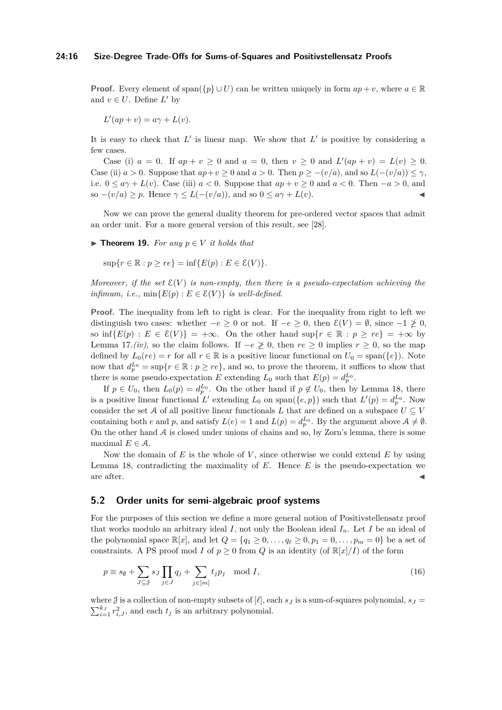**Proof.** Every element of span $({p} \cup U)$  can be written uniquely in form  $ap + v$ , where  $a \in \mathbb{R}$ and  $v \in U$ . Define  $L'$  by

 $L'(ap + v) = a\gamma + L(v)$ .

It is easy to check that  $L'$  is linear map. We show that  $L'$  is positive by considering a few cases.

Case (i)  $a = 0$ . If  $ap + v \ge 0$  and  $a = 0$ , then  $v \ge 0$  and  $L'(ap + v) = L(v) \ge 0$ . Case (ii)  $a > 0$ . Suppose that  $ap + v \ge 0$  and  $a > 0$ . Then  $p \ge -(v/a)$ , and so  $L(-(v/a)) \le \gamma$ , i.e.  $0 \le a\gamma + L(v)$ . Case (iii)  $a < 0$ . Suppose that  $ap + v \ge 0$  and  $a < 0$ . Then  $-a > 0$ , and so  $-(v/a) \geq p$ . Hence  $\gamma \leq L(-(v/a))$ , and so  $0 \leq a\gamma + L(v)$ .

Now we can prove the general duality theorem for pre-ordered vector spaces that admit an order unit. For a more general version of this result, see [\[28\]](#page-19-6).

<span id="page-15-1"></span> $\blacktriangleright$  **Theorem 19.** *For any*  $p \in V$  *it holds that* 

 $\sup\{r \in \mathbb{R} : p > re\} = \inf\{E(p) : E \in \mathcal{E}(V)\}.$ 

*Moreover, if the set*  $\mathcal{E}(V)$  *is non-empty, then there is a pseudo-expectation achieving the infimum, i.e.,*  $\min\{E(p) : E \in \mathcal{E}(V)\}\$ is well-defined.

Proof. The inequality from left to right is clear. For the inequality from right to left we distinguish two cases: whether  $-e \geq 0$  or not. If  $-e \geq 0$ , then  $\mathcal{E}(V) = \emptyset$ , since  $-1 \not\geq 0$ , so  $\inf\{E(p): E \in \mathcal{E}(V)\} = +\infty$ . On the other hand  $\sup\{r \in \mathbb{R} : p \geq re\} = +\infty$  by Lemma [17.](#page-14-1)*(iv)*, so the claim follows. If  $-e \not\geq 0$ , then  $re ≥ 0$  implies  $r ≥ 0$ , so the map defined by  $L_0(re) = r$  for all  $r \in \mathbb{R}$  is a positive linear functional on  $U_0 = \text{span}(\{e\})$ . Note now that  $d_p^{L_0} = \sup\{r \in \mathbb{R} : p \geq re\}$ , and so, to prove the theorem, it suffices to show that there is some pseudo-expectation *E* extending  $L_0$  such that  $E(p) = d_p^{L_0}$ .

If  $p \in U_0$ , then  $L_0(p) = d_p^{L_0}$ . On the other hand if  $p \notin U_0$ , then by Lemma [18,](#page-14-2) there is a positive linear functional L' extending  $L_0$  on span( $\{e, p\}$ ) such that  $L'(p) = d_p^{L_0}$ . Now consider the set A of all positive linear functionals L that are defined on a subspace  $U \subseteq V$ containing both *e* and *p*, and satisfy  $L(e) = 1$  and  $L(p) = d_p^{L_0}$ . By the argument above  $A \neq \emptyset$ . On the other hand  $A$  is closed under unions of chains and so, by Zorn's lemma, there is some maximal  $E \in \mathcal{A}$ .

Now the domain of  $E$  is the whole of  $V$ , since otherwise we could extend  $E$  by using Lemma [18,](#page-14-2) contradicting the maximality of *E*. Hence *E* is the pseudo-expectation we are after.  $\blacksquare$ 

## **5.2 Order units for semi-algebraic proof systems**

For the purposes of this section we define a more general notion of Positivstellensatz proof that works modulo an arbitrary ideal *I*, not only the Boolean ideal *In*. Let *I* be an ideal of the polynomial space  $\mathbb{R}[x]$ , and let  $Q = \{q_1 \geq 0, \ldots, q_\ell \geq 0, p_1 = 0, \ldots, p_m = 0\}$  be a set of constraints. A PS proof mod *I* of  $p \ge 0$  from *Q* is an identity (of  $\mathbb{R}[x]/I$ ) of the form

<span id="page-15-0"></span>
$$
p \equiv s_{\emptyset} + \sum_{J \subseteq \mathcal{J}} s_J \prod_{j \in J} q_j + \sum_{j \in [m]} t_j p_j \mod I,
$$
\n(16)

where  $\mathcal J$  is a collection of non-empty subsets of  $[\ell]$ , each  $s_J$  is a sum-of-squares polynomial,  $s_J =$  $\sum_{i=1}^{k_J} r_{i,J}^2$ , and each  $t_j$  is an arbitrary polynomial.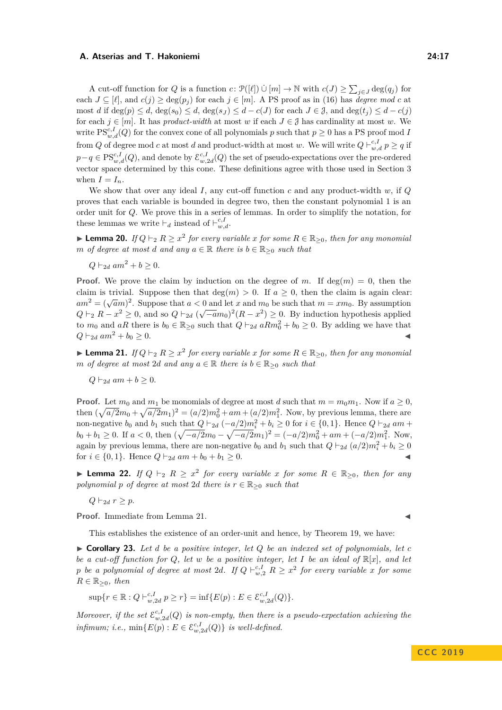A cut-off function for *Q* is a function *c*:  $\mathcal{P}([\ell]) \cup [m] \to \mathbb{N}$  with  $c(J) \ge \sum_{j \in J} \deg(q_j)$  for each  $J \subseteq [\ell]$ , and  $c(j) \geq \deg(p_j)$  for each  $j \in [m]$ . A PS proof as in [\(16\)](#page-15-0) has *degree mod c* at most *d* if deg(*p*)  $\leq d$ , deg(*s*<sub>0</sub>)  $\leq d$ , deg(*s*<sub>*J*</sub>)  $\leq d$  − *c*(*J*) for each  $J \in \mathcal{J}$ , and deg( $t_j$ )  $\leq d$  − *c*(*j*) for each  $j \in [m]$ . It has *product-width* at most *w* if each  $J \in \mathcal{J}$  has cardinality at most *w*. We write  $PS_{w,d}^{c,I}(Q)$  for the convex cone of all polynomials *p* such that  $p \ge 0$  has a PS proof mod *I* from *Q* of degree mod *c* at most *d* and product-width at most *w*. We will write  $Q \vdash_{w,d}^{c,I} p \ge q$  if  $p-q \in \mathrm{PS}_{w,d}^{c,I}(Q)$ , and denote by  $\mathcal{E}_{w,2d}^{c,I}(Q)$  the set of pseudo-expectations over the pre-ordered vector space determined by this cone. These definitions agree with those used in Section [3](#page-5-0) when  $I = I_n$ .

We show that over any ideal *I*, any cut-off function *c* and any product-width *w*, if *Q* proves that each variable is bounded in degree two, then the constant polynomial 1 is an order unit for *Q*. We prove this in a series of lemmas. In order to simplify the notation, for these lemmas we write  $\vdash_d$  instead of  $\vdash_{w,d}^{c,I}$ .

► **Lemma 20.** *If*  $Q \vdash_2 R \geq x^2$  *for every variable x for some*  $R \in \mathbb{R}_{\geq 0}$ *, then for any monomial m of degree at most d and any*  $a \in \mathbb{R}$  *there is*  $b \in \mathbb{R}_{\geq 0}$  *such that* 

 $Q \vdash_{2d} am^2 + b > 0$ .

**Proof.** We prove the claim by induction on the degree of *m*. If deg(*m*) = 0, then the claim is trivial. Suppose then that  $deg(m) > 0$ . If  $a > 0$ , then the claim is again clear:  $am^2 = (\sqrt{am})^2$ . Suppose that  $a < 0$  and let *x* and  $m_0$  be such that  $m = xm_0$ . By assumption  $Q \vdash_2 R - x^2 \geq 0$ , and so  $Q \vdash_{2d} (\sqrt{-a}m_0)^2 (R - x^2) \geq 0$ . By induction hypothesis applied to  $m_0$  and  $aR$  there is  $b_0 \in \mathbb{R}_{\geq 0}$  such that  $Q \vdash_{2d} aRm_0^2 + b_0 \geq 0$ . By adding we have that  $Q \vdash_{2d} am^2 + b_0 \geq 0.$ 

<span id="page-16-0"></span>► **Lemma 21.** *If*  $Q \vdash_2 R \geq x^2$  *for every variable x for some*  $R \in \mathbb{R}_{\geq 0}$ *, then for any monomial m of degree at most* 2*d and any*  $a \in \mathbb{R}$  *there is*  $b \in \mathbb{R}_{\geq 0}$  *such that* 

 $Q \vdash_{2d} am + b \geq 0$ .

**Proof.** Let  $m_0$  and  $m_1$  be monomials of degree at most *d* such that  $m = m_0 m_1$ . Now if  $a > 0$ , then  $(\sqrt{a/2}m_0 + \sqrt{a/2}m_1)^2 = (a/2)m_0^2 + am + (a/2)m_1^2$ . Now, by previous lemma, there are non-negative  $b_0$  and  $b_1$  such that  $Q \vdash_{2d} (-a/2)m_i^2 + b_i \geq 0$  for  $i \in \{0,1\}$ . Hence  $Q \vdash_{2d} am +$  $b_0 + b_1 \ge 0$ . If  $a < 0$ , then  $(\sqrt{-a/2}m_0 - \sqrt{-a/2}m_1)^2 = (-a/2)m_0^2 + am + (-a/2)m_1^2$ . Now, again by previous lemma, there are non-negative  $b_0$  and  $b_1$  such that  $Q \vdash_{2d} (a/2)m_i^2 + b_i \geq 0$ for  $i \in \{0, 1\}$ . Hence  $Q \vdash_{2d} am + b_0 + b_1 \geq 0$ .

▶ **Lemma 22.** *If*  $Q \vdash_2 R \geq x^2$  *for every variable x for some*  $R \in \mathbb{R}_{\geq 0}$ *, then for any polynomial p of degree at most* 2*d there is*  $r \in \mathbb{R}_{\geq 0}$  *such that* 

 $Q \vdash_{2d} r \geq p$ .

Proof. Immediate from Lemma [21.](#page-16-0)

This establishes the existence of an order-unit and hence, by Theorem [19,](#page-15-1) we have:

 $\triangleright$  **Corollary 23.** Let *d* be a positive integer, let *Q* be an indexed set of polynomials, let *c be a cut-off function for Q, let w be a positive integer, let I be an ideal of* R[*x*]*, and let p be a polynomial of degree at most 2d. If*  $Q \vdash_{w,2}^{c,I} R \geq x^2$  *for every variable*  $x$  *for some*  $R \in \mathbb{R}_{\geq 0}$ *, then* 

$$
\sup\{r \in \mathbb{R} : Q \vdash_{w,2d}^{c,I} p \ge r\} = \inf\{E(p) : E \in \mathcal{E}_{w,2d}^{c,I}(Q)\}.
$$

*Moreover, if the set*  $\mathcal{E}_{w,2d}^{c,I}(Q)$  *is non-empty, then there is a pseudo-expectation achieving the infimum; i.e.,*  $\min\{E(p) : E \in \mathcal{E}_{w,2d}^{c,I}(Q)\}$  *is well-defined.*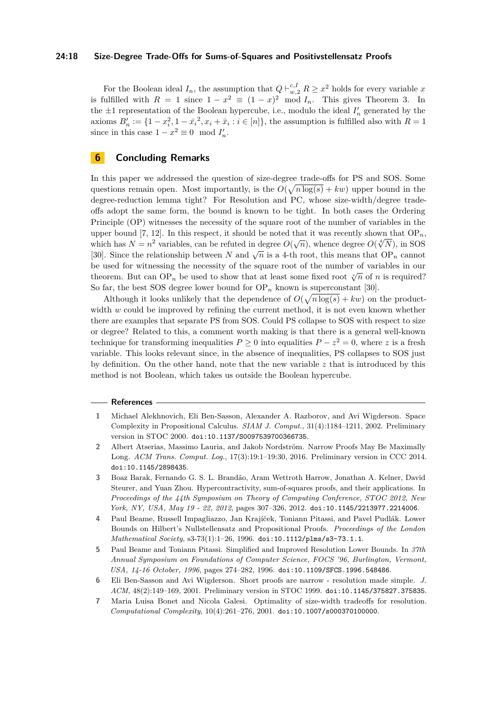#### **24:18 Size-Degree Trade-Offs for Sums-of-Squares and Positivstellensatz Proofs**

For the Boolean ideal  $I_n$ , the assumption that  $Q \vdash_{w,2}^{c,I} R \geq x^2$  holds for every variable x is fulfilled with  $R = 1$  since  $1 - x^2 \equiv (1 - x)^2 \mod I_n$ . This gives Theorem [3.](#page-6-0) In the  $\pm 1$  representation of the Boolean hypercube, i.e., modulo the ideal  $I'_n$  generated by the axioms  $B'_n := \{1 - x_i^2, 1 - \bar{x}_i^2, x_i + \bar{x}_i : i \in [n]\},\$  the assumption is fulfilled also with  $R = 1$ since in this case  $1 - x^2 \equiv 0 \mod I'_n$ .

## **6 Concluding Remarks**

In this paper we addressed the question of size-degree trade-offs for PS and SOS. Some questions remain open. Most importantly, is the  $O(\sqrt{n \log(s)} + kw)$  upper bound in the degree-reduction lemma tight? For Resolution and PC, whose size-width/degree tradeoffs adopt the same form, the bound is known to be tight. In both cases the Ordering Principle (OP) witnesses the necessity of the square root of the number of variables in the upper bound [\[7,](#page-17-6) [12\]](#page-18-17). In this respect, it should be noted that it was recently shown that  $OP_n$ , upper bound  $\lbrack t, 12 \rbrack$ . In this respect, it should be noted that it was recently shown that  $\text{OF}_n$  which has  $N = n^2$  variables, can be refuted in degree  $O(\sqrt[n]{n})$ , whence degree  $O(\sqrt[4]{N})$ , in SOS Fig. 5. Since the relationship between *N* and  $\sqrt{n}$  is a 4-th root, this means that  $OP_n$  cannot be used for witnessing the necessity of the square root of the number of variables in our theorem. But can  $OP_n$  be used to show that at least some fixed root  $\sqrt[n]{n}$  of *n* is required? So far, the best SOS degree lower bound for  $OP_n$  known is superconstant [\[30\]](#page-19-8).

Although it looks unlikely that the dependence of  $O(\sqrt{n \log(s)} + kw)$  on the productwidth *w* could be improved by refining the current method, it is not even known whether there are examples that separate PS from SOS. Could PS collapse to SOS with respect to size or degree? Related to this, a comment worth making is that there is a general well-known technique for transforming inequalities  $P \ge 0$  into equalities  $P - z^2 = 0$ , where *z* is a fresh variable. This looks relevant since, in the absence of inequalities, PS collapses to SOS just by definition. On the other hand, note that the new variable *z* that is introduced by this method is not Boolean, which takes us outside the Boolean hypercube.

#### **References**

- <span id="page-17-3"></span>**1** Michael Alekhnovich, Eli Ben-Sasson, Alexander A. Razborov, and Avi Wigderson. Space Complexity in Propositional Calculus. *SIAM J. Comput.*, 31(4):1184–1211, 2002. Preliminary version in STOC 2000. [doi:10.1137/S0097539700366735](https://doi.org/10.1137/S0097539700366735).
- <span id="page-17-5"></span>**2** Albert Atserias, Massimo Lauria, and Jakob Nordström. Narrow Proofs May Be Maximally Long. *ACM Trans. Comput. Log.*, 17(3):19:1–19:30, 2016. Preliminary version in CCC 2014. [doi:10.1145/2898435](https://doi.org/10.1145/2898435).
- <span id="page-17-0"></span>**3** Boaz Barak, Fernando G. S. L. Brandão, Aram Wettroth Harrow, Jonathan A. Kelner, David Steurer, and Yuan Zhou. Hypercontractivity, sum-of-squares proofs, and their applications. In *Proceedings of the 44th Symposium on Theory of Computing Conference, STOC 2012, New York, NY, USA, May 19 - 22, 2012*, pages 307–326, 2012. [doi:10.1145/2213977.2214006](https://doi.org/10.1145/2213977.2214006).
- <span id="page-17-4"></span>**4** Paul Beame, Russell Impagliazzo, Jan Krajíček, Toniann Pitassi, and Pavel Pudlák. Lower Bounds on Hilbert's Nullstellensatz and Propositional Proofs. *Proceedings of the London Mathematical Society*, s3-73(1):1–26, 1996. [doi:10.1112/plms/s3-73.1.1](https://doi.org/10.1112/plms/s3-73.1.1).
- <span id="page-17-2"></span>**5** Paul Beame and Toniann Pitassi. Simplified and Improved Resolution Lower Bounds. In *37th Annual Symposium on Foundations of Computer Science, FOCS '96, Burlington, Vermont, USA, 14-16 October, 1996*, pages 274–282, 1996. [doi:10.1109/SFCS.1996.548486](https://doi.org/10.1109/SFCS.1996.548486).
- <span id="page-17-1"></span>**6** Eli Ben-Sasson and Avi Wigderson. Short proofs are narrow - resolution made simple. *J. ACM*, 48(2):149–169, 2001. Preliminary version in STOC 1999. [doi:10.1145/375827.375835](https://doi.org/10.1145/375827.375835).
- <span id="page-17-6"></span>**7** Maria Luisa Bonet and Nicola Galesi. Optimality of size-width tradeoffs for resolution. *Computational Complexity*, 10(4):261–276, 2001. [doi:10.1007/s000370100000](https://doi.org/10.1007/s000370100000).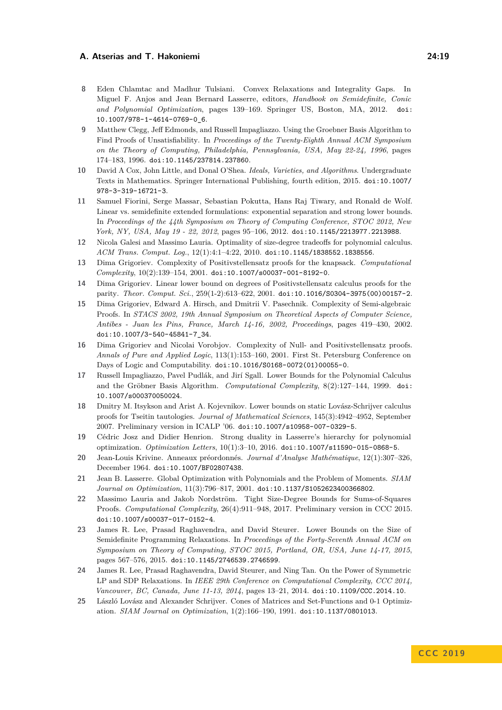- <span id="page-18-3"></span>**8** Eden Chlamtac and Madhur Tulsiani. Convex Relaxations and Integrality Gaps. In Miguel F. Anjos and Jean Bernard Lasserre, editors, *Handbook on Semidefinite, Conic and Polynomial Optimization*, pages 139–169. Springer US, Boston, MA, 2012. [doi:](https://doi.org/10.1007/978-1-4614-0769-0_6) [10.1007/978-1-4614-0769-0\\_6](https://doi.org/10.1007/978-1-4614-0769-0_6).
- <span id="page-18-8"></span>**9** Matthew Clegg, Jeff Edmonds, and Russell Impagliazzo. Using the Groebner Basis Algorithm to Find Proofs of Unsatisfiability. In *Proceedings of the Twenty-Eighth Annual ACM Symposium on the Theory of Computing, Philadelphia, Pennsylvania, USA, May 22-24, 1996*, pages 174–183, 1996. [doi:10.1145/237814.237860](https://doi.org/10.1145/237814.237860).
- <span id="page-18-13"></span>**10** David A Cox, John Little, and Donal O'Shea. *Ideals, Varieties, and Algorithms*. Undergraduate Texts in Mathematics. Springer International Publishing, fourth edition, 2015. [doi:10.1007/](https://doi.org/10.1007/978-3-319-16721-3) [978-3-319-16721-3](https://doi.org/10.1007/978-3-319-16721-3).
- <span id="page-18-4"></span>**11** Samuel Fiorini, Serge Massar, Sebastian Pokutta, Hans Raj Tiwary, and Ronald de Wolf. Linear vs. semidefinite extended formulations: exponential separation and strong lower bounds. In *Proceedings of the 44th Symposium on Theory of Computing Conference, STOC 2012, New York, NY, USA, May 19 - 22, 2012*, pages 95–106, 2012. [doi:10.1145/2213977.2213988](https://doi.org/10.1145/2213977.2213988).
- <span id="page-18-17"></span>**12** Nicola Galesi and Massimo Lauria. Optimality of size-degree tradeoffs for polynomial calculus. *ACM Trans. Comput. Log.*, 12(1):4:1–4:22, 2010. [doi:10.1145/1838552.1838556](https://doi.org/10.1145/1838552.1838556).
- <span id="page-18-11"></span>**13** Dima Grigoriev. Complexity of Positivstellensatz proofs for the knapsack. *Computational Complexity*, 10(2):139–154, 2001. [doi:10.1007/s00037-001-8192-0](https://doi.org/10.1007/s00037-001-8192-0).
- <span id="page-18-14"></span>**14** Dima Grigoriev. Linear lower bound on degrees of Positivstellensatz calculus proofs for the parity. *Theor. Comput. Sci.*, 259(1-2):613–622, 2001. [doi:10.1016/S0304-3975\(00\)00157-2](https://doi.org/10.1016/S0304-3975(00)00157-2).
- <span id="page-18-12"></span>**15** Dima Grigoriev, Edward A. Hirsch, and Dmitrii V. Pasechnik. Complexity of Semi-algebraic Proofs. In *STACS 2002, 19th Annual Symposium on Theoretical Aspects of Computer Science, Antibes - Juan les Pins, France, March 14-16, 2002, Proceedings*, pages 419–430, 2002. [doi:10.1007/3-540-45841-7\\_34](https://doi.org/10.1007/3-540-45841-7_34).
- <span id="page-18-1"></span>**16** Dima Grigoriev and Nicolai Vorobjov. Complexity of Null- and Positivstellensatz proofs. *Annals of Pure and Applied Logic*, 113(1):153–160, 2001. First St. Petersburg Conference on Days of Logic and Computability. [doi:10.1016/S0168-0072\(01\)00055-0](https://doi.org/10.1016/S0168-0072(01)00055-0).
- <span id="page-18-7"></span>**17** Russell Impagliazzo, Pavel Pudlák, and Jirí Sgall. Lower Bounds for the Polynomial Calculus and the Gröbner Basis Algorithm. *Computational Complexity*, 8(2):127–144, 1999. [doi:](https://doi.org/10.1007/s000370050024) [10.1007/s000370050024](https://doi.org/10.1007/s000370050024).
- <span id="page-18-16"></span>**18** Dmitry M. Itsykson and Arist A. Kojevnikov. Lower bounds on static Lovász-Schrijver calculus proofs for Tseitin tautologies. *Journal of Mathematical Sciences*, 145(3):4942–4952, September 2007. Preliminary version in ICALP '06. [doi:10.1007/s10958-007-0329-5](https://doi.org/10.1007/s10958-007-0329-5).
- <span id="page-18-10"></span>**19** Cédric Josz and Didier Henrion. Strong duality in Lasserre's hierarchy for polynomial optimization. *Optimization Letters*, 10(1):3–10, 2016. [doi:10.1007/s11590-015-0868-5](https://doi.org/10.1007/s11590-015-0868-5).
- <span id="page-18-0"></span>**20** Jean-Louis Krivine. Anneaux préordonnés. *Journal d'Analyse Mathématique*, 12(1):307–326, December 1964. [doi:10.1007/BF02807438](https://doi.org/10.1007/BF02807438).
- <span id="page-18-2"></span>**21** Jean B. Lasserre. Global Optimization with Polynomials and the Problem of Moments. *SIAM Journal on Optimization*, 11(3):796–817, 2001. [doi:10.1137/S1052623400366802](https://doi.org/10.1137/S1052623400366802).
- <span id="page-18-15"></span>**22** Massimo Lauria and Jakob Nordström. Tight Size-Degree Bounds for Sums-of-Squares Proofs. *Computational Complexity*, 26(4):911–948, 2017. Preliminary version in CCC 2015. [doi:10.1007/s00037-017-0152-4](https://doi.org/10.1007/s00037-017-0152-4).
- <span id="page-18-6"></span>**23** James R. Lee, Prasad Raghavendra, and David Steurer. Lower Bounds on the Size of Semidefinite Programming Relaxations. In *Proceedings of the Forty-Seventh Annual ACM on Symposium on Theory of Computing, STOC 2015, Portland, OR, USA, June 14-17, 2015*, pages 567–576, 2015. [doi:10.1145/2746539.2746599](https://doi.org/10.1145/2746539.2746599).
- <span id="page-18-5"></span>**24** James R. Lee, Prasad Raghavendra, David Steurer, and Ning Tan. On the Power of Symmetric LP and SDP Relaxations. In *IEEE 29th Conference on Computational Complexity, CCC 2014, Vancouver, BC, Canada, June 11-13, 2014*, pages 13–21, 2014. [doi:10.1109/CCC.2014.10](https://doi.org/10.1109/CCC.2014.10).
- <span id="page-18-9"></span>**25** László Lovász and Alexander Schrijver. Cones of Matrices and Set-Functions and 0-1 Optimization. *SIAM Journal on Optimization*, 1(2):166–190, 1991. [doi:10.1137/0801013](https://doi.org/10.1137/0801013).